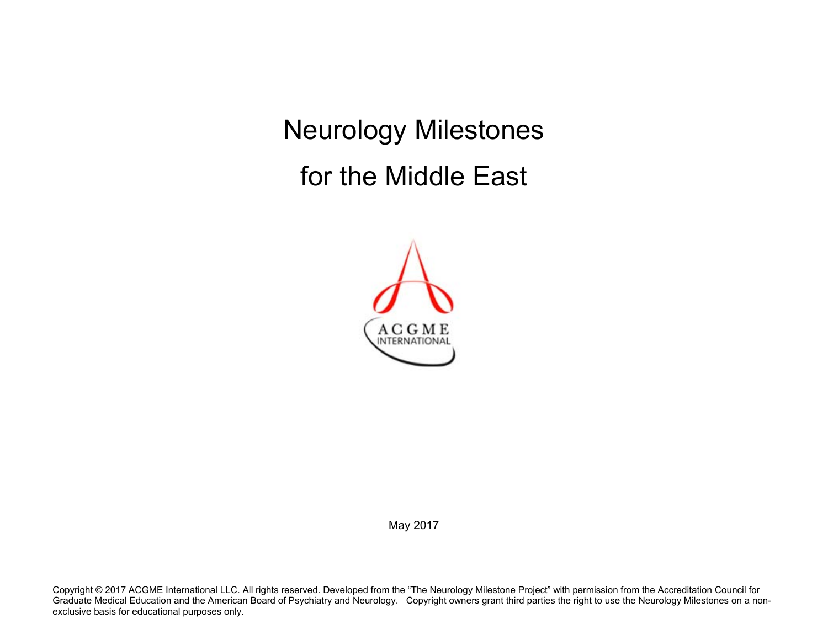Neurology Milestones for the Middle East



May 2017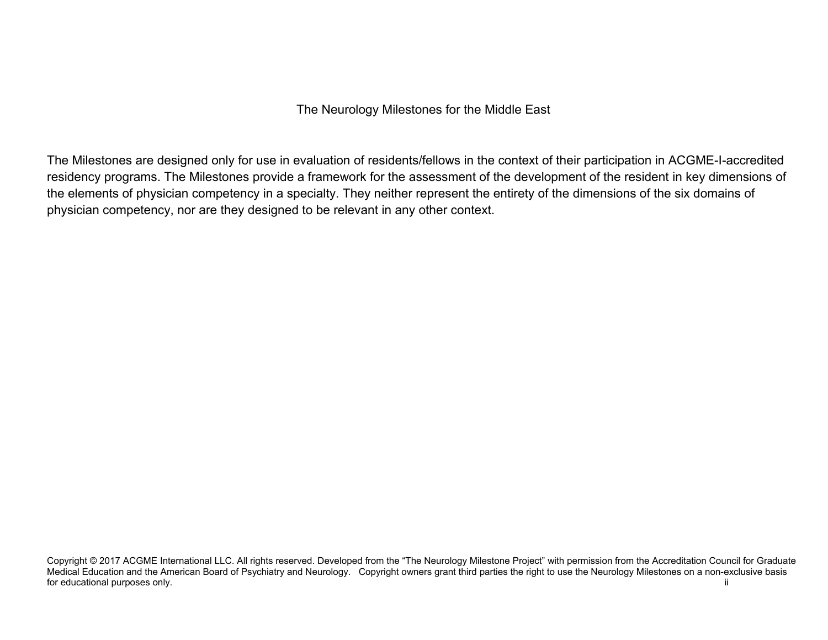The Neurology Milestones for the Middle East

The Milestones are designed only for use in evaluation of residents/fellows in the context of their participation in ACGME-I-accredited residency programs. The Milestones provide a framework for the assessment of the development of the resident in key dimensions of the elements of physician competency in a specialty. They neither represent the entirety of the dimensions of the six domains of physician competency, nor are they designed to be relevant in any other context.

Copyright © 2017 ACGME International LLC. All rights reserved. Developed from the "The Neurology Milestone Project" with permission from the Accreditation Council for Graduate Medical Education and the American Board of Psychiatry and Neurology. Copyright owners grant third parties the right to use the Neurology Milestones on a non-exclusive basis for educational purposes only. The state of the state of the state of the state of the state of the state of the state of the state of the state of the state of the state of the state of the state of the state of the state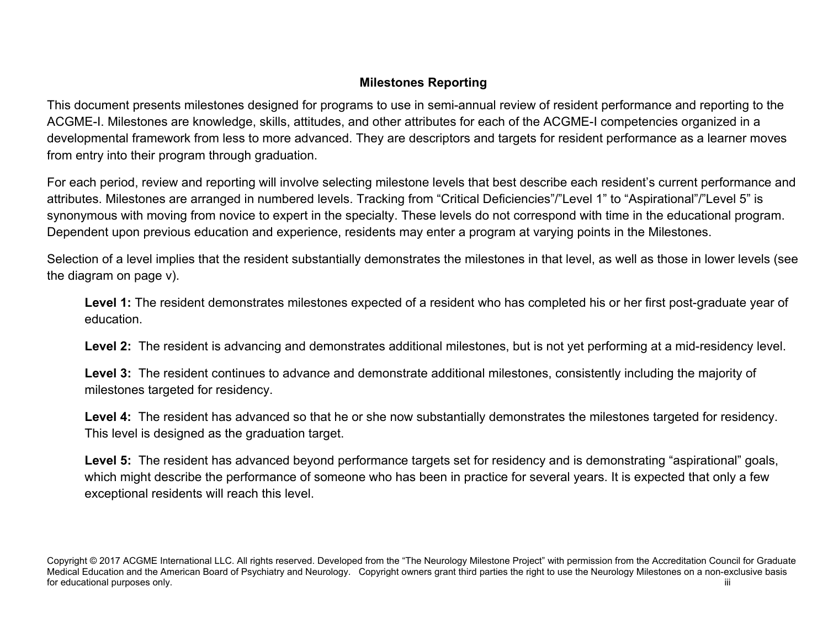# **Milestones Reporting**

This document presents milestones designed for programs to use in semi-annual review of resident performance and reporting to the ACGME-I. Milestones are knowledge, skills, attitudes, and other attributes for each of the ACGME-I competencies organized in a developmental framework from less to more advanced. They are descriptors and targets for resident performance as a learner moves from entry into their program through graduation.

For each period, review and reporting will involve selecting milestone levels that best describe each resident's current performance and attributes. Milestones are arranged in numbered levels. Tracking from "Critical Deficiencies"/"Level 1" to "Aspirational"/"Level 5" is synonymous with moving from novice to expert in the specialty. These levels do not correspond with time in the educational program. Dependent upon previous education and experience, residents may enter a program at varying points in the Milestones.

Selection of a level implies that the resident substantially demonstrates the milestones in that level, as well as those in lower levels (see the diagram on page v).

**Level 1:** The resident demonstrates milestones expected of a resident who has completed his or her first post-graduate year of education.

**Level 2:** The resident is advancing and demonstrates additional milestones, but is not yet performing at a mid-residency level.

**Level 3:** The resident continues to advance and demonstrate additional milestones, consistently including the majority of milestones targeted for residency.

**Level 4:** The resident has advanced so that he or she now substantially demonstrates the milestones targeted for residency. This level is designed as the graduation target.

Level 5: The resident has advanced beyond performance targets set for residency and is demonstrating "aspirational" goals, which might describe the performance of someone who has been in practice for several years. It is expected that only a few exceptional residents will reach this level.

Copyright © 2017 ACGME International LLC. All rights reserved. Developed from the "The Neurology Milestone Project" with permission from the Accreditation Council for Graduate Medical Education and the American Board of Psychiatry and Neurology. Copyright owners grant third parties the right to use the Neurology Milestones on a non-exclusive basis for educational purposes only. The contract of the contract of the contract of the contract of the contract of the contract of the contract of the contract of the contract of the contract of the contract of the contract of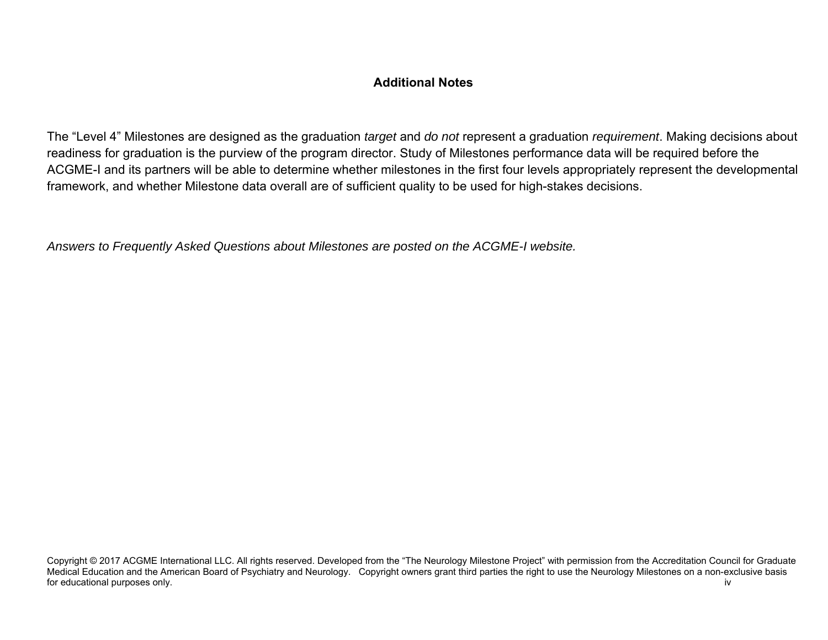## **Additional Notes**

The "Level 4" Milestones are designed as the graduation *target* and *do not* represent a graduation *requirement*. Making decisions about readiness for graduation is the purview of the program director. Study of Milestones performance data will be required before the ACGME-I and its partners will be able to determine whether milestones in the first four levels appropriately represent the developmental framework, and whether Milestone data overall are of sufficient quality to be used for high-stakes decisions.

*Answers to Frequently Asked Questions about Milestones are posted on the ACGME-I website.* 

Copyright © 2017 ACGME International LLC. All rights reserved. Developed from the "The Neurology Milestone Project" with permission from the Accreditation Council for Graduate Medical Education and the American Board of Psychiatry and Neurology. Copyright owners grant third parties the right to use the Neurology Milestones on a non-exclusive basis for educational purposes only. iverally a set of the set of the set of the set of the set of the set of the set of the set of the set of the set of the set of the set of the set of the set of the set of the set of the set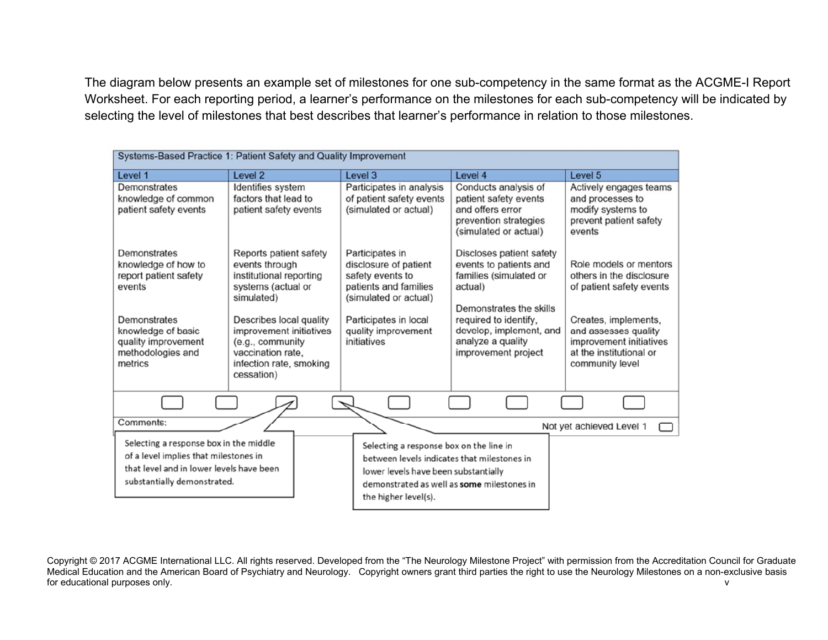The diagram below presents an example set of milestones for one sub-competency in the same format as the ACGME-I Report Worksheet. For each reporting period, a learner's performance on the milestones for each sub-competency will be indicated by selecting the level of milestones that best describes that learner's performance in relation to those milestones.

| Systems-Based Practice 1: Patient Safety and Quality Improvement                                                                                           |                                                                                                                                                                                   |                                                                                                                                                                                                      |                                                                                                                                                                                             |                                                                                                                                                           |  |
|------------------------------------------------------------------------------------------------------------------------------------------------------------|-----------------------------------------------------------------------------------------------------------------------------------------------------------------------------------|------------------------------------------------------------------------------------------------------------------------------------------------------------------------------------------------------|---------------------------------------------------------------------------------------------------------------------------------------------------------------------------------------------|-----------------------------------------------------------------------------------------------------------------------------------------------------------|--|
| Level 1                                                                                                                                                    | Level 2                                                                                                                                                                           | Level 3                                                                                                                                                                                              | Level 4                                                                                                                                                                                     | Level 5                                                                                                                                                   |  |
| Demonstrates<br>knowledge of common<br>patient safety events                                                                                               | Identifies system<br>factors that lead to<br>patient safety events                                                                                                                | Participates in analysis<br>of patient safety events<br>(simulated or actual)                                                                                                                        | Conducts analysis of<br>patient safety events<br>and offers error<br>prevention strategies<br>(simulated or actual)                                                                         | Actively engages teams<br>and processes to<br>modify systems to<br>prevent patient safety<br>events                                                       |  |
| Demonstrates<br>knowledge of how to<br>report patient safety<br>events<br>Demonstrates<br>knowledge of basic<br>quality improvement                        | Reports patient safety<br>events through<br>institutional reporting<br>systems (actual or<br>simulated)<br>Describes local quality<br>improvement initiatives<br>(e.g., community | Participates in<br>disclosure of patient<br>safety events to<br>patients and families<br>(simulated or actual)<br>Participates in local<br>quality improvement<br>initiatives                        | Discloses patient safety<br>events to patients and<br>families (simulated or<br>actual)<br>Demonstrates the skills<br>required to identify.<br>develop, implement, and<br>analyze a quality | Role models or mentors<br>others in the disclosure<br>of patient safety events<br>Creates, implements,<br>and assesses quality<br>improvement initiatives |  |
| methodologies and<br>metrics                                                                                                                               | vaccination rate.<br>infection rate, smoking<br>cessation)                                                                                                                        |                                                                                                                                                                                                      | improvement project                                                                                                                                                                         | at the institutional or<br>community level                                                                                                                |  |
|                                                                                                                                                            |                                                                                                                                                                                   |                                                                                                                                                                                                      |                                                                                                                                                                                             |                                                                                                                                                           |  |
| Comments:                                                                                                                                                  |                                                                                                                                                                                   |                                                                                                                                                                                                      |                                                                                                                                                                                             | Not yet achieved Level 1                                                                                                                                  |  |
| Selecting a response box in the middle<br>of a level implies that milestones in<br>that level and in lower levels have been<br>substantially demonstrated. |                                                                                                                                                                                   | Selecting a response box on the line in<br>between levels indicates that milestones in<br>lower levels have been substantially<br>demonstrated as well as some milestones in<br>the higher level(s). |                                                                                                                                                                                             |                                                                                                                                                           |  |

Copyright © 2017 ACGME International LLC. All rights reserved. Developed from the "The Neurology Milestone Project" with permission from the Accreditation Council for Graduate Medical Education and the American Board of Psychiatry and Neurology. Copyright owners grant third parties the right to use the Neurology Milestones on a non-exclusive basis for educational purposes only. The contract of the contract of the contract of the contract of the contract of the contract of the contract of the contract of the contract of the contract of the contract of the contract of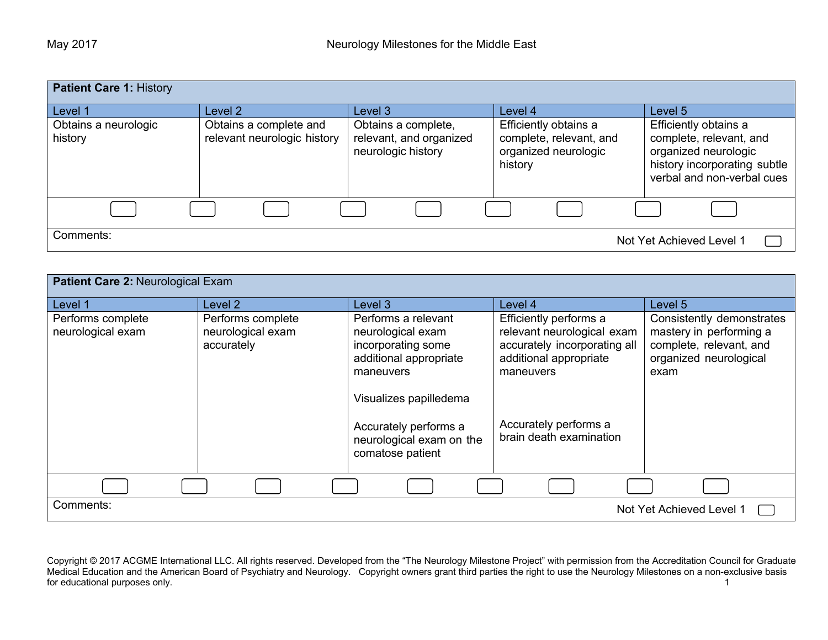| <b>Patient Care 1: History</b>  |                                                       |                                                                      |                                                                                     |                                                                                                                                        |  |
|---------------------------------|-------------------------------------------------------|----------------------------------------------------------------------|-------------------------------------------------------------------------------------|----------------------------------------------------------------------------------------------------------------------------------------|--|
| Level 1                         | Level 2                                               | Level 3                                                              | Level 4                                                                             | Level 5                                                                                                                                |  |
| Obtains a neurologic<br>history | Obtains a complete and<br>relevant neurologic history | Obtains a complete,<br>relevant, and organized<br>neurologic history | Efficiently obtains a<br>complete, relevant, and<br>organized neurologic<br>history | Efficiently obtains a<br>complete, relevant, and<br>organized neurologic<br>history incorporating subtle<br>verbal and non-verbal cues |  |
|                                 |                                                       |                                                                      |                                                                                     |                                                                                                                                        |  |
| Comments:                       |                                                       |                                                                      |                                                                                     | Not Yet Achieved Level 1                                                                                                               |  |

| <b>Patient Care 2: Neurological Exam</b> |                                                      |                                                                                                                                                                                                          |                                                                                                                                                                                 |                                                                                                                   |
|------------------------------------------|------------------------------------------------------|----------------------------------------------------------------------------------------------------------------------------------------------------------------------------------------------------------|---------------------------------------------------------------------------------------------------------------------------------------------------------------------------------|-------------------------------------------------------------------------------------------------------------------|
| Level 1                                  | Level 2                                              | Level 3                                                                                                                                                                                                  | Level 4                                                                                                                                                                         | Level 5                                                                                                           |
| Performs complete<br>neurological exam   | Performs complete<br>neurological exam<br>accurately | Performs a relevant<br>neurological exam<br>incorporating some<br>additional appropriate<br>maneuvers<br>Visualizes papilledema<br>Accurately performs a<br>neurological exam on the<br>comatose patient | Efficiently performs a<br>relevant neurological exam<br>accurately incorporating all<br>additional appropriate<br>maneuvers<br>Accurately performs a<br>brain death examination | Consistently demonstrates<br>mastery in performing a<br>complete, relevant, and<br>organized neurological<br>exam |
|                                          |                                                      |                                                                                                                                                                                                          |                                                                                                                                                                                 |                                                                                                                   |
| Comments:                                |                                                      |                                                                                                                                                                                                          |                                                                                                                                                                                 | Not Yet Achieved Level 1                                                                                          |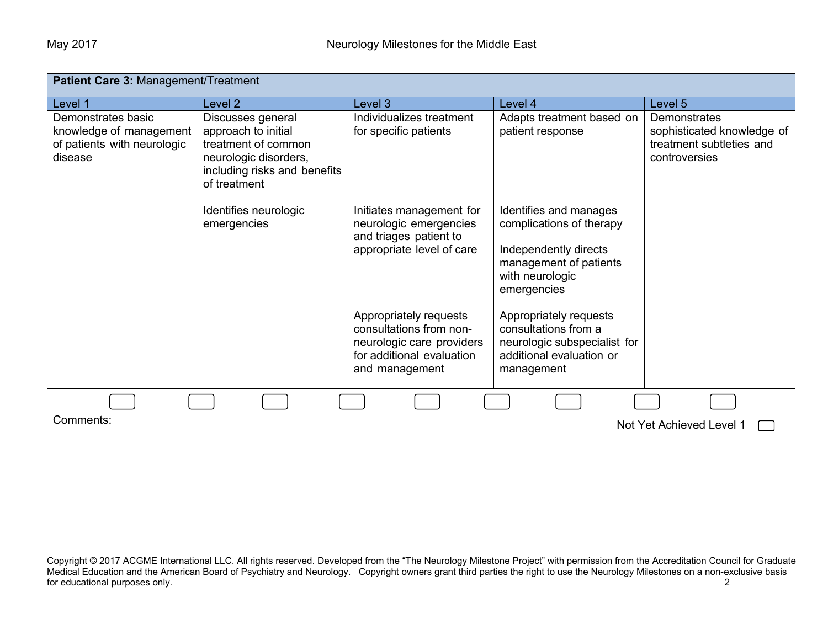| Patient Care 3: Management/Treatment                                                    |                                                                                                                                          |                                                                                                                               |                                                                                                                                         |                                                                                         |
|-----------------------------------------------------------------------------------------|------------------------------------------------------------------------------------------------------------------------------------------|-------------------------------------------------------------------------------------------------------------------------------|-----------------------------------------------------------------------------------------------------------------------------------------|-----------------------------------------------------------------------------------------|
| Level 1                                                                                 | Level 2                                                                                                                                  | Level 3                                                                                                                       | Level 4                                                                                                                                 | Level 5                                                                                 |
| Demonstrates basic<br>knowledge of management<br>of patients with neurologic<br>disease | Discusses general<br>approach to initial<br>treatment of common<br>neurologic disorders,<br>including risks and benefits<br>of treatment | Individualizes treatment<br>for specific patients                                                                             | Adapts treatment based on<br>patient response                                                                                           | Demonstrates<br>sophisticated knowledge of<br>treatment subtleties and<br>controversies |
|                                                                                         | Identifies neurologic<br>emergencies                                                                                                     | Initiates management for<br>neurologic emergencies<br>and triages patient to<br>appropriate level of care                     | Identifies and manages<br>complications of therapy<br>Independently directs<br>management of patients<br>with neurologic<br>emergencies |                                                                                         |
|                                                                                         |                                                                                                                                          | Appropriately requests<br>consultations from non-<br>neurologic care providers<br>for additional evaluation<br>and management | Appropriately requests<br>consultations from a<br>neurologic subspecialist for<br>additional evaluation or<br>management                |                                                                                         |
|                                                                                         |                                                                                                                                          |                                                                                                                               |                                                                                                                                         |                                                                                         |
| Comments:<br>Not Yet Achieved Level 1                                                   |                                                                                                                                          |                                                                                                                               |                                                                                                                                         |                                                                                         |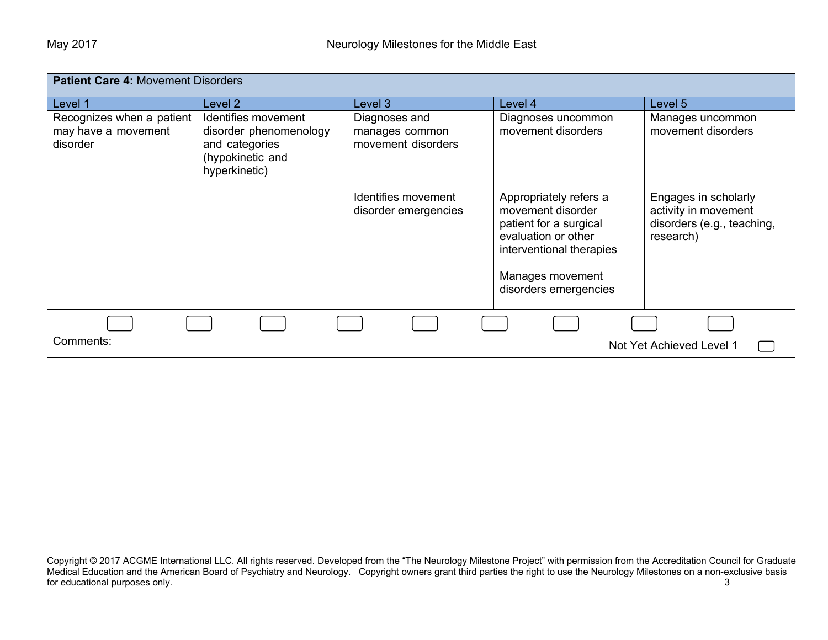| <b>Patient Care 4: Movement Disorders</b>                    |                                                                                                      |                                                       |                                                                                                                                                                       |                                                                                         |
|--------------------------------------------------------------|------------------------------------------------------------------------------------------------------|-------------------------------------------------------|-----------------------------------------------------------------------------------------------------------------------------------------------------------------------|-----------------------------------------------------------------------------------------|
| Level 1                                                      | Level 2                                                                                              | Level 3                                               | Level 4                                                                                                                                                               | Level 5                                                                                 |
| Recognizes when a patient<br>may have a movement<br>disorder | Identifies movement<br>disorder phenomenology<br>and categories<br>(hypokinetic and<br>hyperkinetic) | Diagnoses and<br>manages common<br>movement disorders | Diagnoses uncommon<br>movement disorders                                                                                                                              | Manages uncommon<br>movement disorders                                                  |
|                                                              |                                                                                                      | Identifies movement<br>disorder emergencies           | Appropriately refers a<br>movement disorder<br>patient for a surgical<br>evaluation or other<br>interventional therapies<br>Manages movement<br>disorders emergencies | Engages in scholarly<br>activity in movement<br>disorders (e.g., teaching,<br>research) |
|                                                              |                                                                                                      |                                                       |                                                                                                                                                                       |                                                                                         |
| Comments:                                                    |                                                                                                      |                                                       |                                                                                                                                                                       | Not Yet Achieved Level 1                                                                |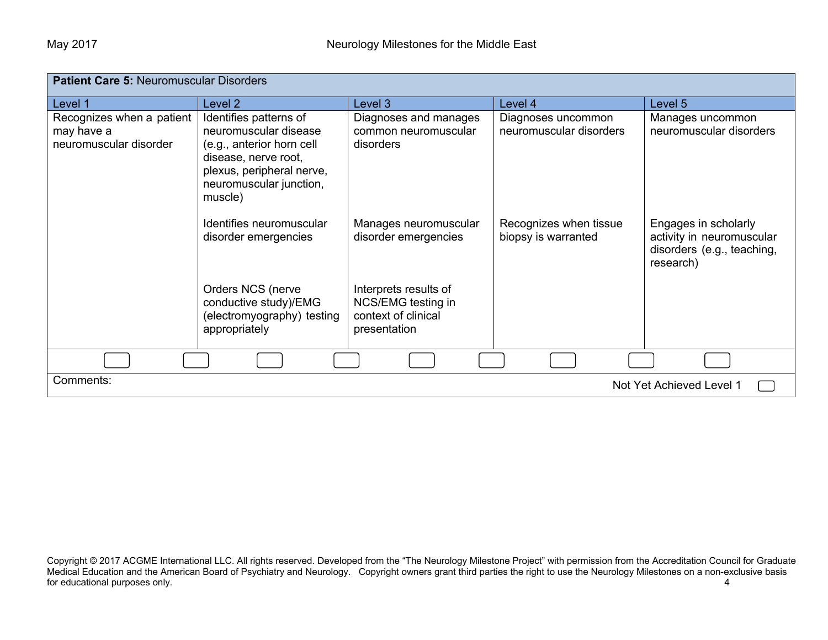| <b>Patient Care 5: Neuromuscular Disorders</b>                    |                                                                                                                                                                         |                                                                                    |                                               |                                                                                              |  |
|-------------------------------------------------------------------|-------------------------------------------------------------------------------------------------------------------------------------------------------------------------|------------------------------------------------------------------------------------|-----------------------------------------------|----------------------------------------------------------------------------------------------|--|
| Level 1                                                           | Level 2                                                                                                                                                                 | Level 3                                                                            | Level 4                                       | Level 5                                                                                      |  |
| Recognizes when a patient<br>may have a<br>neuromuscular disorder | Identifies patterns of<br>neuromuscular disease<br>(e.g., anterior horn cell<br>disease, nerve root,<br>plexus, peripheral nerve,<br>neuromuscular junction,<br>muscle) | Diagnoses and manages<br>common neuromuscular<br>disorders                         | Diagnoses uncommon<br>neuromuscular disorders | Manages uncommon<br>neuromuscular disorders                                                  |  |
|                                                                   | Identifies neuromuscular<br>disorder emergencies                                                                                                                        | Manages neuromuscular<br>disorder emergencies                                      | Recognizes when tissue<br>biopsy is warranted | Engages in scholarly<br>activity in neuromuscular<br>disorders (e.g., teaching,<br>research) |  |
|                                                                   | Orders NCS (nerve<br>conductive study)/EMG<br>(electromyography) testing<br>appropriately                                                                               | Interprets results of<br>NCS/EMG testing in<br>context of clinical<br>presentation |                                               |                                                                                              |  |
|                                                                   |                                                                                                                                                                         |                                                                                    |                                               |                                                                                              |  |
| Comments:                                                         | Not Yet Achieved Level 1                                                                                                                                                |                                                                                    |                                               |                                                                                              |  |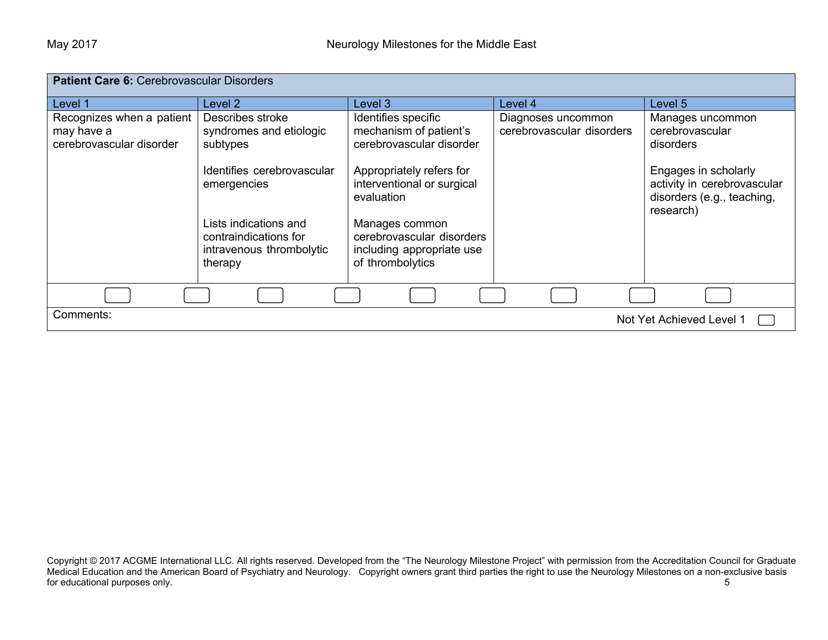| <b>Patient Care 6: Cerebrovascular Disorders</b>                    |                                                                                       |                                                                                              |                                                 |                                                                                                |
|---------------------------------------------------------------------|---------------------------------------------------------------------------------------|----------------------------------------------------------------------------------------------|-------------------------------------------------|------------------------------------------------------------------------------------------------|
| Level 1                                                             | Level 2                                                                               | Level 3                                                                                      | Level 4                                         | Level 5                                                                                        |
| Recognizes when a patient<br>may have a<br>cerebrovascular disorder | Describes stroke<br>syndromes and etiologic<br>subtypes                               | Identifies specific<br>mechanism of patient's<br>cerebrovascular disorder                    | Diagnoses uncommon<br>cerebrovascular disorders | Manages uncommon<br>cerebrovascular<br>disorders                                               |
|                                                                     | Identifies cerebrovascular<br>emergencies                                             | Appropriately refers for<br>interventional or surgical<br>evaluation                         |                                                 | Engages in scholarly<br>activity in cerebrovascular<br>disorders (e.g., teaching,<br>research) |
|                                                                     | Lists indications and<br>contraindications for<br>intravenous thrombolytic<br>therapy | Manages common<br>cerebrovascular disorders<br>including appropriate use<br>of thrombolytics |                                                 |                                                                                                |
|                                                                     |                                                                                       |                                                                                              |                                                 |                                                                                                |
| Comments:                                                           |                                                                                       |                                                                                              |                                                 | Not Yet Achieved Level 1                                                                       |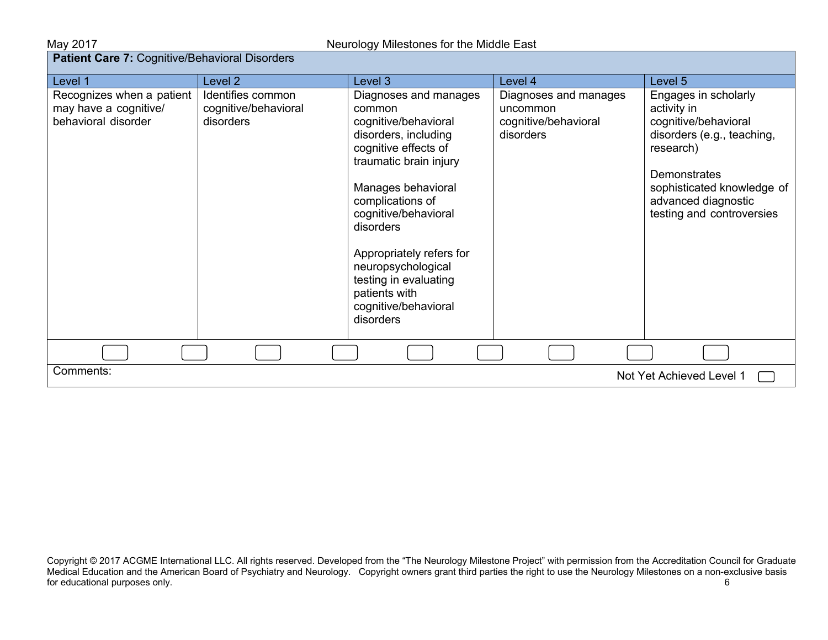| <b>Patient Care 7: Cognitive/Behavioral Disorders</b>                     |                                                        |                                                                                                                                                                                                                                                                                                                                                   |                                                                        |                                                                                                                                                                                                                 |  |
|---------------------------------------------------------------------------|--------------------------------------------------------|---------------------------------------------------------------------------------------------------------------------------------------------------------------------------------------------------------------------------------------------------------------------------------------------------------------------------------------------------|------------------------------------------------------------------------|-----------------------------------------------------------------------------------------------------------------------------------------------------------------------------------------------------------------|--|
| Level 1                                                                   | Level 2                                                | Level 3                                                                                                                                                                                                                                                                                                                                           | Level 4                                                                | Level 5                                                                                                                                                                                                         |  |
| Recognizes when a patient<br>may have a cognitive/<br>behavioral disorder | Identifies common<br>cognitive/behavioral<br>disorders | Diagnoses and manages<br>common<br>cognitive/behavioral<br>disorders, including<br>cognitive effects of<br>traumatic brain injury<br>Manages behavioral<br>complications of<br>cognitive/behavioral<br>disorders<br>Appropriately refers for<br>neuropsychological<br>testing in evaluating<br>patients with<br>cognitive/behavioral<br>disorders | Diagnoses and manages<br>uncommon<br>cognitive/behavioral<br>disorders | Engages in scholarly<br>activity in<br>cognitive/behavioral<br>disorders (e.g., teaching,<br>research)<br><b>Demonstrates</b><br>sophisticated knowledge of<br>advanced diagnostic<br>testing and controversies |  |
|                                                                           |                                                        |                                                                                                                                                                                                                                                                                                                                                   |                                                                        |                                                                                                                                                                                                                 |  |
| Comments:<br>Not Yet Achieved Level 1                                     |                                                        |                                                                                                                                                                                                                                                                                                                                                   |                                                                        |                                                                                                                                                                                                                 |  |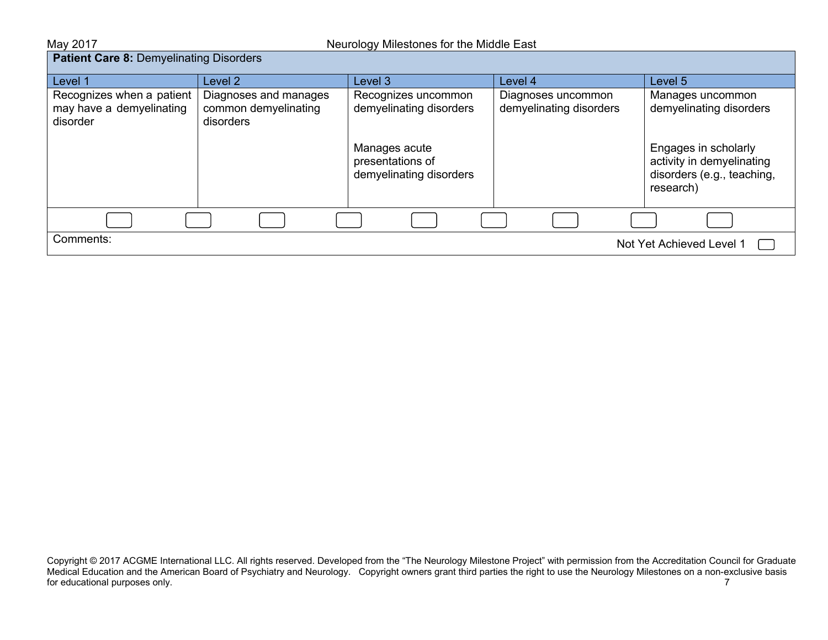#### **Patient Care 8: Demyelinating Disorders**

| Level 1                                                           | Level 2                                                    | Level <sub>3</sub>                                           | Level 4                                       | Level 5                                                                                      |
|-------------------------------------------------------------------|------------------------------------------------------------|--------------------------------------------------------------|-----------------------------------------------|----------------------------------------------------------------------------------------------|
| Recognizes when a patient<br>may have a demyelinating<br>disorder | Diagnoses and manages<br>common demyelinating<br>disorders | Recognizes uncommon<br>demyelinating disorders               | Diagnoses uncommon<br>demyelinating disorders | Manages uncommon<br>demyelinating disorders                                                  |
|                                                                   |                                                            | Manages acute<br>presentations of<br>demyelinating disorders |                                               | Engages in scholarly<br>activity in demyelinating<br>disorders (e.g., teaching,<br>research) |
|                                                                   |                                                            |                                                              |                                               |                                                                                              |
| Comments:<br>Not Yet Achieved Level 1                             |                                                            |                                                              |                                               |                                                                                              |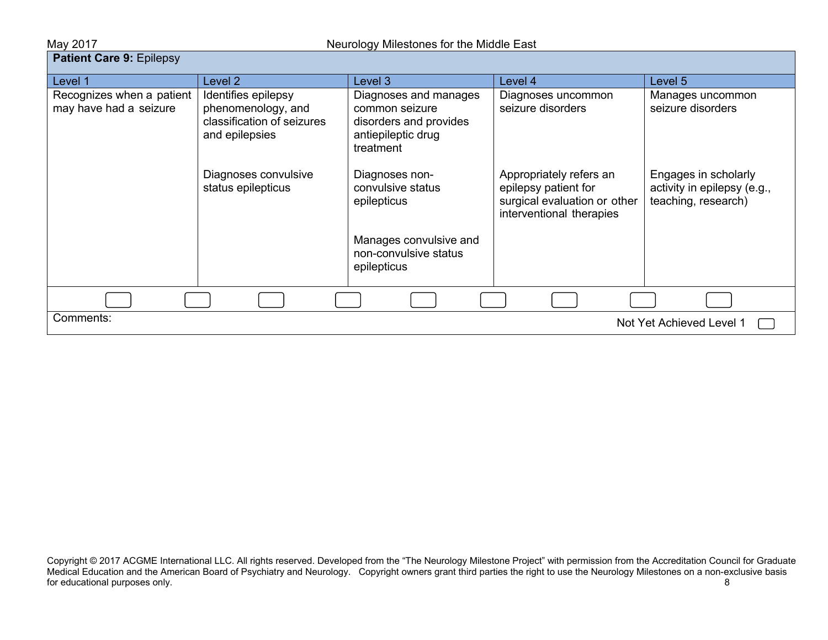| Neurology Milestones for the Middle East<br>May 2017 |                                                                                           |                                                                                                      |                                                                                                             |                                                                            |
|------------------------------------------------------|-------------------------------------------------------------------------------------------|------------------------------------------------------------------------------------------------------|-------------------------------------------------------------------------------------------------------------|----------------------------------------------------------------------------|
| <b>Patient Care 9: Epilepsy</b>                      |                                                                                           |                                                                                                      |                                                                                                             |                                                                            |
| Level 1                                              | Level 2                                                                                   | Level 3                                                                                              | Level 4                                                                                                     | Level 5                                                                    |
| Recognizes when a patient<br>may have had a seizure  | Identifies epilepsy<br>phenomenology, and<br>classification of seizures<br>and epilepsies | Diagnoses and manages<br>common seizure<br>disorders and provides<br>antiepileptic drug<br>treatment | Diagnoses uncommon<br>seizure disorders                                                                     | Manages uncommon<br>seizure disorders                                      |
|                                                      | Diagnoses convulsive<br>status epilepticus                                                | Diagnoses non-<br>convulsive status<br>epilepticus                                                   | Appropriately refers an<br>epilepsy patient for<br>surgical evaluation or other<br>interventional therapies | Engages in scholarly<br>activity in epilepsy (e.g.,<br>teaching, research) |
|                                                      |                                                                                           | Manages convulsive and<br>non-convulsive status<br>epilepticus                                       |                                                                                                             |                                                                            |
|                                                      |                                                                                           |                                                                                                      |                                                                                                             |                                                                            |
| Comments:<br>Not Yet Achieved Level 1                |                                                                                           |                                                                                                      |                                                                                                             |                                                                            |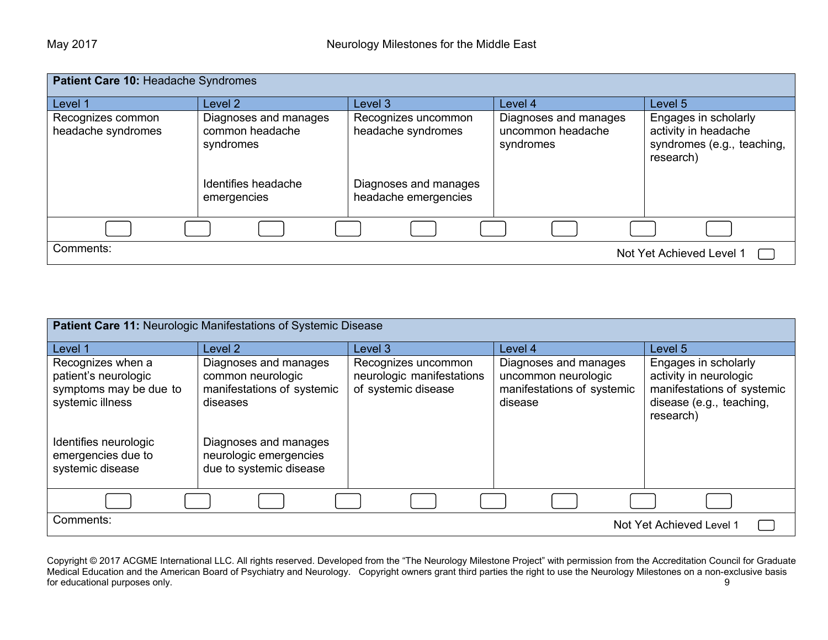| Patient Care 10: Headache Syndromes     |                                                       |                                               |                                                         |                                                                                         |
|-----------------------------------------|-------------------------------------------------------|-----------------------------------------------|---------------------------------------------------------|-----------------------------------------------------------------------------------------|
| Level 1                                 | Level 2                                               | Level 3                                       | Level 4                                                 | Level 5                                                                                 |
| Recognizes common<br>headache syndromes | Diagnoses and manages<br>common headache<br>syndromes | Recognizes uncommon<br>headache syndromes     | Diagnoses and manages<br>uncommon headache<br>syndromes | Engages in scholarly<br>activity in headache<br>syndromes (e.g., teaching,<br>research) |
|                                         | Identifies headache<br>emergencies                    | Diagnoses and manages<br>headache emergencies |                                                         |                                                                                         |
|                                         |                                                       |                                               |                                                         |                                                                                         |
| Comments:                               |                                                       |                                               |                                                         | Not Yet Achieved Level 1                                                                |

| Patient Care 11: Neurologic Manifestations of Systemic Disease                          |                                                                                      |                                                                         |                                                                                       |                                                                                                                       |
|-----------------------------------------------------------------------------------------|--------------------------------------------------------------------------------------|-------------------------------------------------------------------------|---------------------------------------------------------------------------------------|-----------------------------------------------------------------------------------------------------------------------|
| Level 1                                                                                 | Level <sub>2</sub>                                                                   | Level 3                                                                 | Level 4                                                                               | Level 5                                                                                                               |
| Recognizes when a<br>patient's neurologic<br>symptoms may be due to<br>systemic illness | Diagnoses and manages<br>common neurologic<br>manifestations of systemic<br>diseases | Recognizes uncommon<br>neurologic manifestations<br>of systemic disease | Diagnoses and manages<br>uncommon neurologic<br>manifestations of systemic<br>disease | Engages in scholarly<br>activity in neurologic<br>manifestations of systemic<br>disease (e.g., teaching,<br>research) |
| Identifies neurologic<br>emergencies due to<br>systemic disease                         | Diagnoses and manages<br>neurologic emergencies<br>due to systemic disease           |                                                                         |                                                                                       |                                                                                                                       |
|                                                                                         |                                                                                      |                                                                         |                                                                                       |                                                                                                                       |
| Comments:<br>Not Yet Achieved Level 1                                                   |                                                                                      |                                                                         |                                                                                       |                                                                                                                       |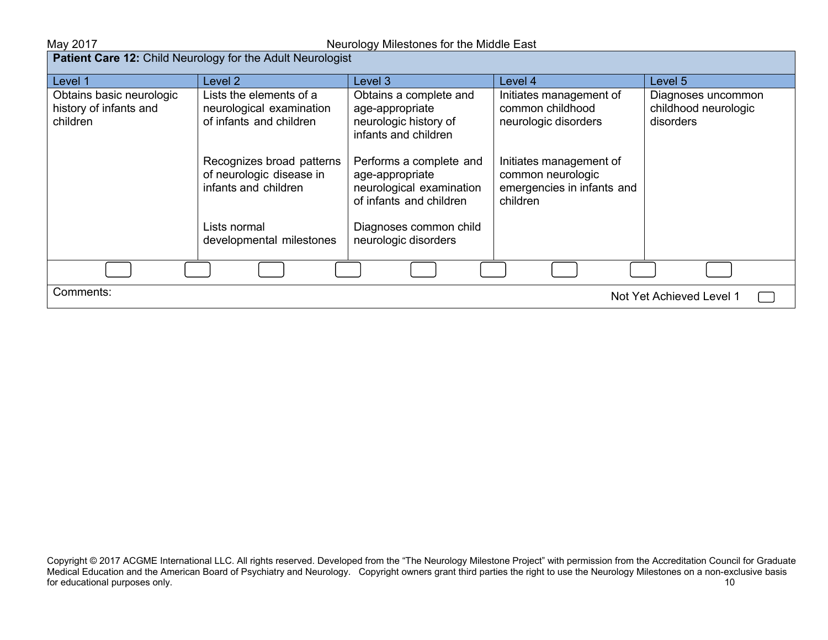| <b>Patient Care 12: Child Neurology for the Adult Neurologist</b> |                                                                                |                                                                                                   |                                                                                        |                                                         |  |
|-------------------------------------------------------------------|--------------------------------------------------------------------------------|---------------------------------------------------------------------------------------------------|----------------------------------------------------------------------------------------|---------------------------------------------------------|--|
| Level 1                                                           | Level 2                                                                        | Level 3                                                                                           | Level 4                                                                                | Level 5                                                 |  |
| Obtains basic neurologic<br>history of infants and<br>children    | Lists the elements of a<br>neurological examination<br>of infants and children | Obtains a complete and<br>age-appropriate<br>neurologic history of<br>infants and children        | Initiates management of<br>common childhood<br>neurologic disorders                    | Diagnoses uncommon<br>childhood neurologic<br>disorders |  |
|                                                                   | Recognizes broad patterns<br>of neurologic disease in<br>infants and children  | Performs a complete and<br>age-appropriate<br>neurological examination<br>of infants and children | Initiates management of<br>common neurologic<br>emergencies in infants and<br>children |                                                         |  |
|                                                                   | Lists normal<br>developmental milestones                                       | Diagnoses common child<br>neurologic disorders                                                    |                                                                                        |                                                         |  |
|                                                                   |                                                                                |                                                                                                   |                                                                                        |                                                         |  |
| Comments:<br>Not Yet Achieved Level 1                             |                                                                                |                                                                                                   |                                                                                        |                                                         |  |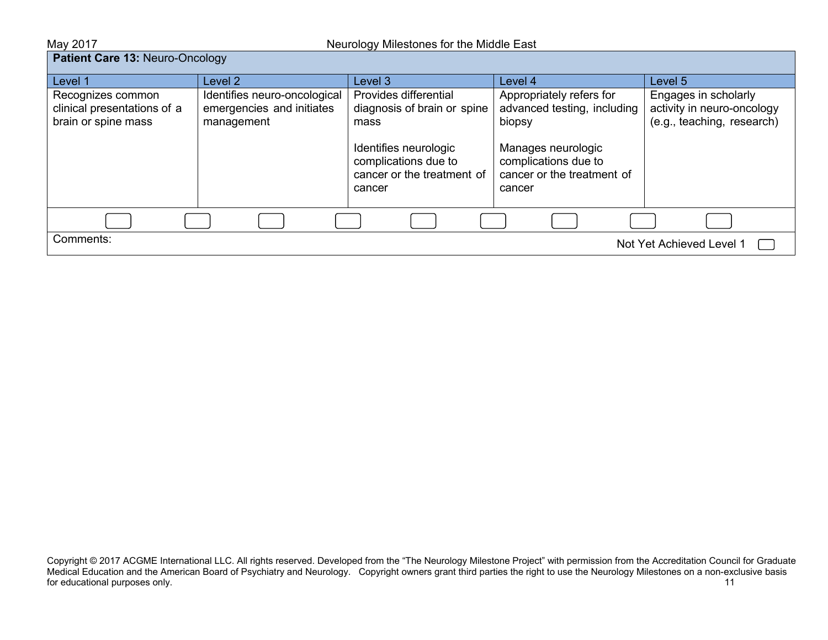May 2017 May 2017 **May 2017** Neurology Milestones for the Middle East

## **Patient Care 13: Neuro-Oncology**

| Level 1                                                                 | Level 2                                                                 | Level 3                                                                               | Level 4                                                                            | Level 5                                                                          |
|-------------------------------------------------------------------------|-------------------------------------------------------------------------|---------------------------------------------------------------------------------------|------------------------------------------------------------------------------------|----------------------------------------------------------------------------------|
| Recognizes common<br>clinical presentations of a<br>brain or spine mass | Identifies neuro-oncological<br>emergencies and initiates<br>management | Provides differential<br>diagnosis of brain or spine<br>mass                          | Appropriately refers for<br>advanced testing, including<br>biopsy                  | Engages in scholarly<br>activity in neuro-oncology<br>(e.g., teaching, research) |
|                                                                         |                                                                         | Identifies neurologic<br>complications due to<br>cancer or the treatment of<br>cancer | Manages neurologic<br>complications due to<br>cancer or the treatment of<br>cancer |                                                                                  |
|                                                                         |                                                                         |                                                                                       |                                                                                    |                                                                                  |
| Comments:<br>Not Yet Achieved Level 1                                   |                                                                         |                                                                                       |                                                                                    |                                                                                  |

Copyright © 2017 ACGME International LLC. All rights reserved. Developed from the "The Neurology Milestone Project" with permission from the Accreditation Council for Graduate Medical Education and the American Board of Psychiatry and Neurology. Copyright owners grant third parties the right to use the Neurology Milestones on a non-exclusive basis for educational purposes only. The contract of the contract of the contract of the contract of the contract of the contract of the contract of the contract of the contract of the contract of the contract of the contract of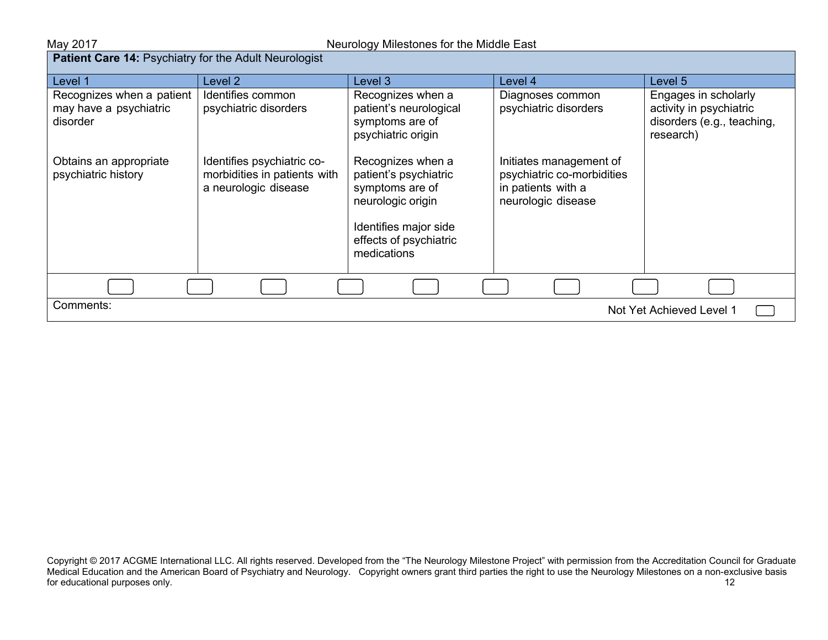| <b>Patient Care 14: Psychiatry for the Adult Neurologist</b>    |                                                                                    |                                                                                                                                                      |                                                                                                   |                                                                                            |  |
|-----------------------------------------------------------------|------------------------------------------------------------------------------------|------------------------------------------------------------------------------------------------------------------------------------------------------|---------------------------------------------------------------------------------------------------|--------------------------------------------------------------------------------------------|--|
| Level 1                                                         | Level 2                                                                            | Level 3                                                                                                                                              | Level 4                                                                                           | Level 5                                                                                    |  |
| Recognizes when a patient<br>may have a psychiatric<br>disorder | Identifies common<br>psychiatric disorders                                         | Recognizes when a<br>patient's neurological<br>symptoms are of<br>psychiatric origin                                                                 | Diagnoses common<br>psychiatric disorders                                                         | Engages in scholarly<br>activity in psychiatric<br>disorders (e.g., teaching,<br>research) |  |
| Obtains an appropriate<br>psychiatric history                   | Identifies psychiatric co-<br>morbidities in patients with<br>a neurologic disease | Recognizes when a<br>patient's psychiatric<br>symptoms are of<br>neurologic origin<br>Identifies major side<br>effects of psychiatric<br>medications | Initiates management of<br>psychiatric co-morbidities<br>in patients with a<br>neurologic disease |                                                                                            |  |
|                                                                 |                                                                                    |                                                                                                                                                      |                                                                                                   |                                                                                            |  |
| Comments:                                                       | Not Yet Achieved Level 1                                                           |                                                                                                                                                      |                                                                                                   |                                                                                            |  |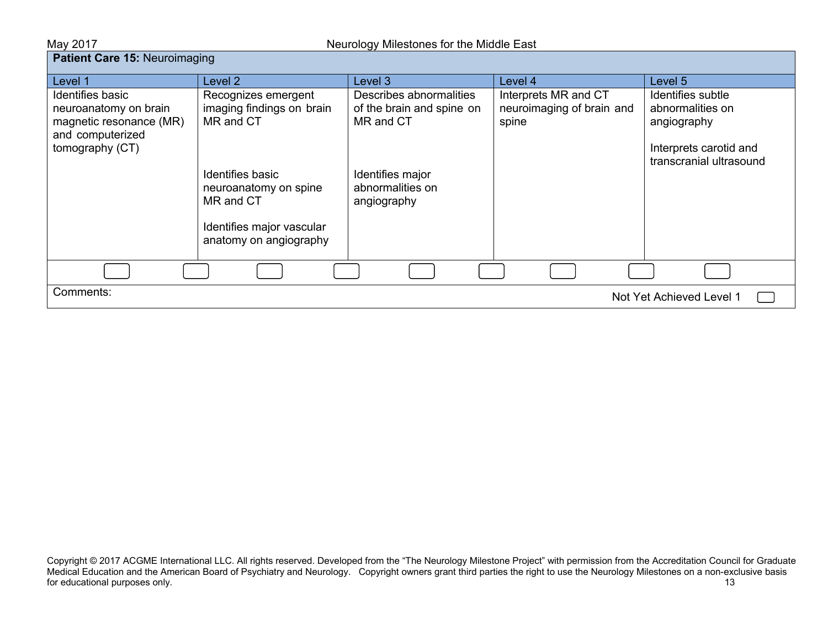| Neurology Milestones for the Middle East<br>May 2017                                                        |                                                                                                                                                                                |                                                                                                                          |                                                            |                                                                                                           |
|-------------------------------------------------------------------------------------------------------------|--------------------------------------------------------------------------------------------------------------------------------------------------------------------------------|--------------------------------------------------------------------------------------------------------------------------|------------------------------------------------------------|-----------------------------------------------------------------------------------------------------------|
| Patient Care 15: Neuroimaging                                                                               |                                                                                                                                                                                |                                                                                                                          |                                                            |                                                                                                           |
| Level 1                                                                                                     | Level <sub>2</sub>                                                                                                                                                             | Level 3                                                                                                                  | Level 4                                                    | Level 5                                                                                                   |
| Identifies basic<br>neuroanatomy on brain<br>magnetic resonance (MR)<br>and computerized<br>tomography (CT) | Recognizes emergent<br>imaging findings on brain<br>MR and CT<br>Identifies basic<br>neuroanatomy on spine<br>MR and CT<br>Identifies major vascular<br>anatomy on angiography | Describes abnormalities<br>of the brain and spine on<br>MR and CT<br>Identifies major<br>abnormalities on<br>angiography | Interprets MR and CT<br>neuroimaging of brain and<br>spine | Identifies subtle<br>abnormalities on<br>angiography<br>Interprets carotid and<br>transcranial ultrasound |
|                                                                                                             |                                                                                                                                                                                |                                                                                                                          |                                                            |                                                                                                           |
| Comments:                                                                                                   |                                                                                                                                                                                |                                                                                                                          |                                                            | Not Yet Achieved Level 1                                                                                  |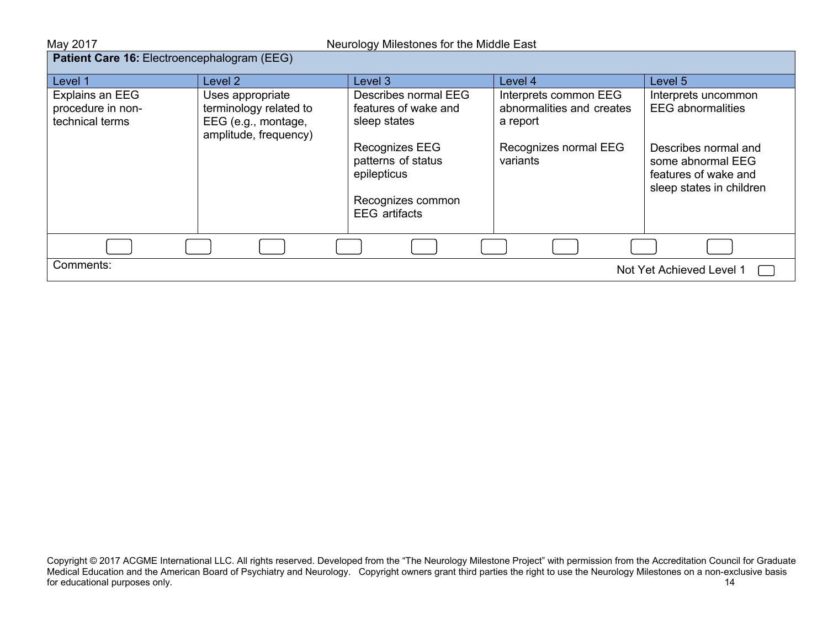| May 2017                                                | Neurology Milestones for the Middle East                                                   |                                                                                                                     |                                                                                                     |                                                                                                                      |  |
|---------------------------------------------------------|--------------------------------------------------------------------------------------------|---------------------------------------------------------------------------------------------------------------------|-----------------------------------------------------------------------------------------------------|----------------------------------------------------------------------------------------------------------------------|--|
|                                                         | Patient Care 16: Electroencephalogram (EEG)                                                |                                                                                                                     |                                                                                                     |                                                                                                                      |  |
| Level 1                                                 | Level 2                                                                                    | Level 3                                                                                                             | Level 4                                                                                             | Level 5                                                                                                              |  |
| Explains an EEG<br>procedure in non-<br>technical terms | Uses appropriate<br>terminology related to<br>EEG (e.g., montage,<br>amplitude, frequency) | Describes normal EEG<br>features of wake and<br>sleep states<br>Recognizes EEG<br>patterns of status<br>epilepticus | Interprets common EEG<br>abnormalities and creates<br>a report<br>Recognizes normal EEG<br>variants | Interprets uncommon<br><b>EEG</b> abnormalities<br>Describes normal and<br>some abnormal EEG<br>features of wake and |  |
|                                                         |                                                                                            | Recognizes common<br><b>EEG</b> artifacts                                                                           |                                                                                                     | sleep states in children                                                                                             |  |
|                                                         |                                                                                            |                                                                                                                     |                                                                                                     |                                                                                                                      |  |
| Comments:<br>Not Yet Achieved Level 1                   |                                                                                            |                                                                                                                     |                                                                                                     |                                                                                                                      |  |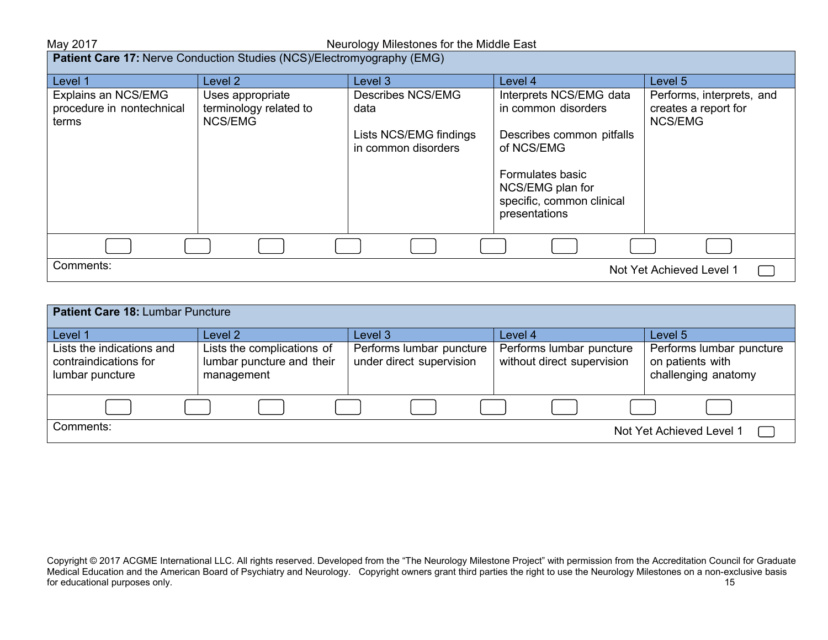## May 2017 May 2017 Meurology Milestones for the Middle East

**Patient Care 17:** Nerve Conduction Studies (NCS)/Electromyography (EMG)

| Level 1                   | Level 2                | Level 3                                       | Level 4                                    | Level 5                   |
|---------------------------|------------------------|-----------------------------------------------|--------------------------------------------|---------------------------|
| Explains an NCS/EMG       | Uses appropriate       | <b>Describes NCS/EMG</b>                      | Interprets NCS/EMG data                    | Performs, interprets, and |
| procedure in nontechnical | terminology related to | data                                          | in common disorders                        | creates a report for      |
| terms                     | NCS/EMG                |                                               |                                            | <b>NCS/EMG</b>            |
|                           |                        | Lists NCS/EMG findings<br>in common disorders | Describes common pitfalls<br>of NCS/EMG    |                           |
|                           |                        |                                               | Formulates basic<br>NCS/EMG plan for       |                           |
|                           |                        |                                               | specific, common clinical<br>presentations |                           |
|                           |                        |                                               |                                            |                           |
|                           |                        |                                               |                                            |                           |
| Comments:                 |                        |                                               |                                            | Not Yet Achieved Level 1  |

| Patient Care 18: Lumbar Puncture                                      |                                                                       |                                                      |                                                        |                                                                     |  |
|-----------------------------------------------------------------------|-----------------------------------------------------------------------|------------------------------------------------------|--------------------------------------------------------|---------------------------------------------------------------------|--|
| Level 1                                                               | Level <sub>2</sub>                                                    | Level 3                                              | Level 4                                                | Level 5                                                             |  |
| Lists the indications and<br>contraindications for<br>lumbar puncture | Lists the complications of<br>lumbar puncture and their<br>management | Performs lumbar puncture<br>under direct supervision | Performs lumbar puncture<br>without direct supervision | Performs lumbar puncture<br>on patients with<br>challenging anatomy |  |
|                                                                       |                                                                       |                                                      |                                                        |                                                                     |  |
| Comments:                                                             |                                                                       |                                                      |                                                        | Not Yet Achieved Level 1                                            |  |

Copyright © 2017 ACGME International LLC. All rights reserved. Developed from the "The Neurology Milestone Project" with permission from the Accreditation Council for Graduate Medical Education and the American Board of Psychiatry and Neurology. Copyright owners grant third parties the right to use the Neurology Milestones on a non-exclusive basis for educational purposes only. The contract of the contract of the contract of the contract of the contract of the contract of the contract of the contract of the contract of the contract of the contract of the contract of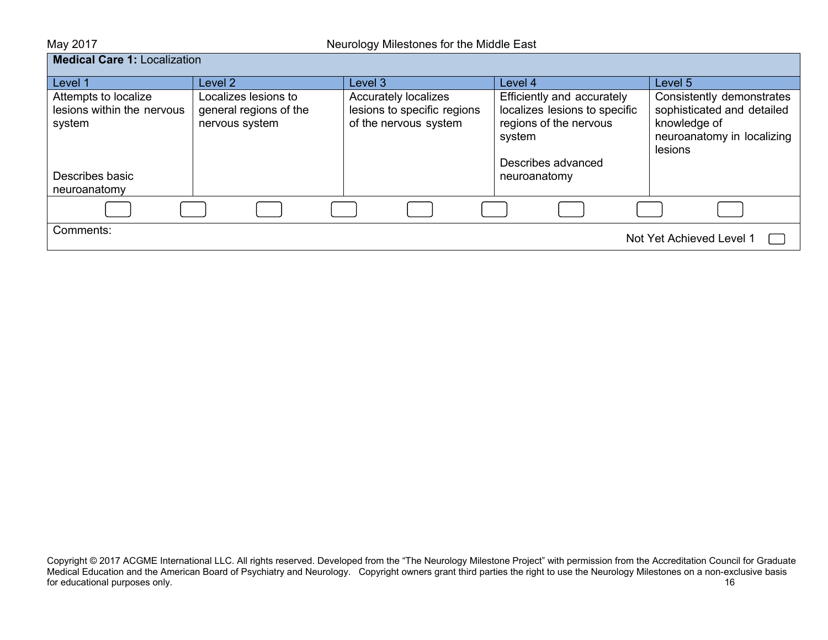| May 2017                                                                        | Neurology Milestones for the Middle East                         |                                                                                     |                                                                                                                                       |                                                                                                                  |  |
|---------------------------------------------------------------------------------|------------------------------------------------------------------|-------------------------------------------------------------------------------------|---------------------------------------------------------------------------------------------------------------------------------------|------------------------------------------------------------------------------------------------------------------|--|
| <b>Medical Care 1: Localization</b>                                             |                                                                  |                                                                                     |                                                                                                                                       |                                                                                                                  |  |
| Level 1                                                                         | Level 2                                                          | Level 3                                                                             | Level 4                                                                                                                               | Level 5                                                                                                          |  |
| Attempts to localize<br>lesions within the nervous<br>system<br>Describes basic | Localizes lesions to<br>general regions of the<br>nervous system | <b>Accurately localizes</b><br>lesions to specific regions<br>of the nervous system | Efficiently and accurately<br>localizes lesions to specific<br>regions of the nervous<br>system<br>Describes advanced<br>neuroanatomy | Consistently demonstrates<br>sophisticated and detailed<br>knowledge of<br>neuroanatomy in localizing<br>lesions |  |
| neuroanatomy                                                                    |                                                                  |                                                                                     |                                                                                                                                       |                                                                                                                  |  |
|                                                                                 |                                                                  |                                                                                     |                                                                                                                                       |                                                                                                                  |  |
| Comments:                                                                       |                                                                  |                                                                                     |                                                                                                                                       | Not Yet Achieved Level 1                                                                                         |  |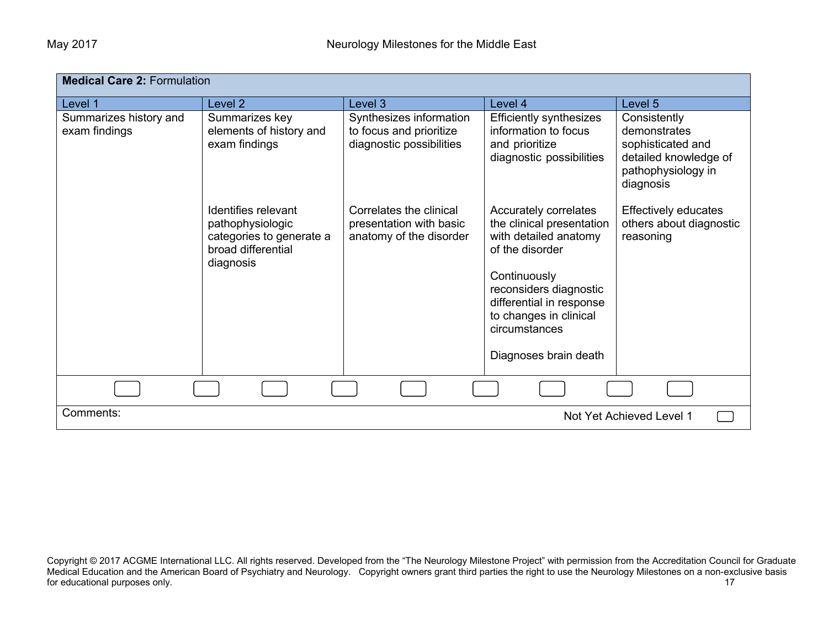| <b>Medical Care 2: Formulation</b>      |                                                                                                        |                                                                                |                                                                                                                                                                                                                                          |                                                                                                               |
|-----------------------------------------|--------------------------------------------------------------------------------------------------------|--------------------------------------------------------------------------------|------------------------------------------------------------------------------------------------------------------------------------------------------------------------------------------------------------------------------------------|---------------------------------------------------------------------------------------------------------------|
| Level 1                                 | Level 2                                                                                                | Level 3                                                                        | Level 4                                                                                                                                                                                                                                  | Level 5                                                                                                       |
| Summarizes history and<br>exam findings | Summarizes key<br>elements of history and<br>exam findings                                             | Synthesizes information<br>to focus and prioritize<br>diagnostic possibilities | <b>Efficiently synthesizes</b><br>information to focus<br>and prioritize<br>diagnostic possibilities                                                                                                                                     | Consistently<br>demonstrates<br>sophisticated and<br>detailed knowledge of<br>pathophysiology in<br>diagnosis |
|                                         | Identifies relevant<br>pathophysiologic<br>categories to generate a<br>broad differential<br>diagnosis | Correlates the clinical<br>presentation with basic<br>anatomy of the disorder  | Accurately correlates<br>the clinical presentation<br>with detailed anatomy<br>of the disorder<br>Continuously<br>reconsiders diagnostic<br>differential in response<br>to changes in clinical<br>circumstances<br>Diagnoses brain death | <b>Effectively educates</b><br>others about diagnostic<br>reasoning                                           |
|                                         |                                                                                                        |                                                                                |                                                                                                                                                                                                                                          |                                                                                                               |
| Comments:                               |                                                                                                        |                                                                                |                                                                                                                                                                                                                                          | Not Yet Achieved Level 1                                                                                      |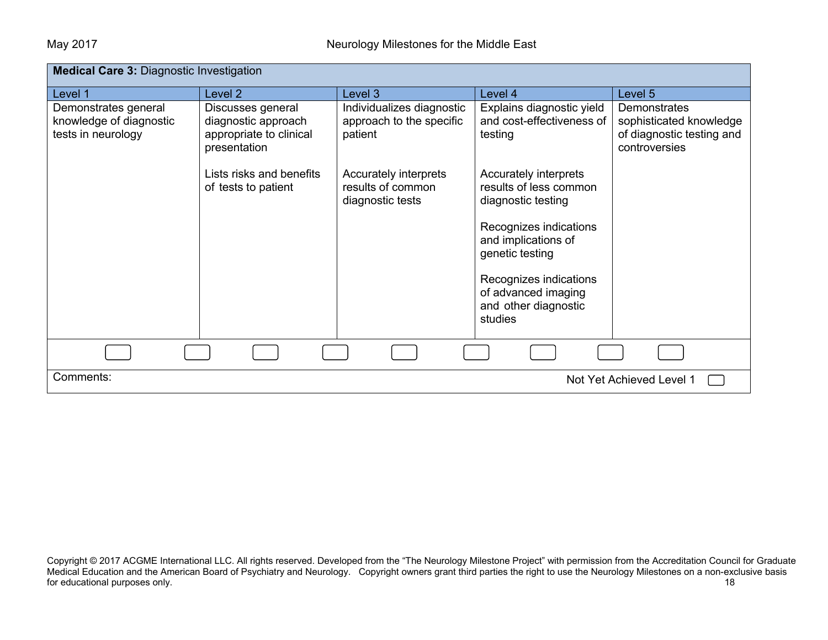| <b>Medical Care 3: Diagnostic Investigation</b>                       |                                                                     |                                                                  |                                                                                  |                                                                      |  |
|-----------------------------------------------------------------------|---------------------------------------------------------------------|------------------------------------------------------------------|----------------------------------------------------------------------------------|----------------------------------------------------------------------|--|
| Level 1                                                               | Level 2                                                             | Level 3                                                          | Level 4                                                                          | Level <sub>5</sub>                                                   |  |
| Demonstrates general<br>knowledge of diagnostic<br>tests in neurology | Discusses general<br>diagnostic approach<br>appropriate to clinical | Individualizes diagnostic<br>approach to the specific<br>patient | Explains diagnostic yield<br>and cost-effectiveness of<br>testing                | Demonstrates<br>sophisticated knowledge<br>of diagnostic testing and |  |
|                                                                       | presentation<br>Lists risks and benefits                            |                                                                  |                                                                                  | controversies                                                        |  |
|                                                                       | of tests to patient                                                 | Accurately interprets<br>results of common<br>diagnostic tests   | Accurately interprets<br>results of less common<br>diagnostic testing            |                                                                      |  |
|                                                                       |                                                                     |                                                                  | Recognizes indications<br>and implications of<br>genetic testing                 |                                                                      |  |
|                                                                       |                                                                     |                                                                  | Recognizes indications<br>of advanced imaging<br>and other diagnostic<br>studies |                                                                      |  |
|                                                                       |                                                                     |                                                                  |                                                                                  |                                                                      |  |
| Comments:                                                             | Not Yet Achieved Level 1                                            |                                                                  |                                                                                  |                                                                      |  |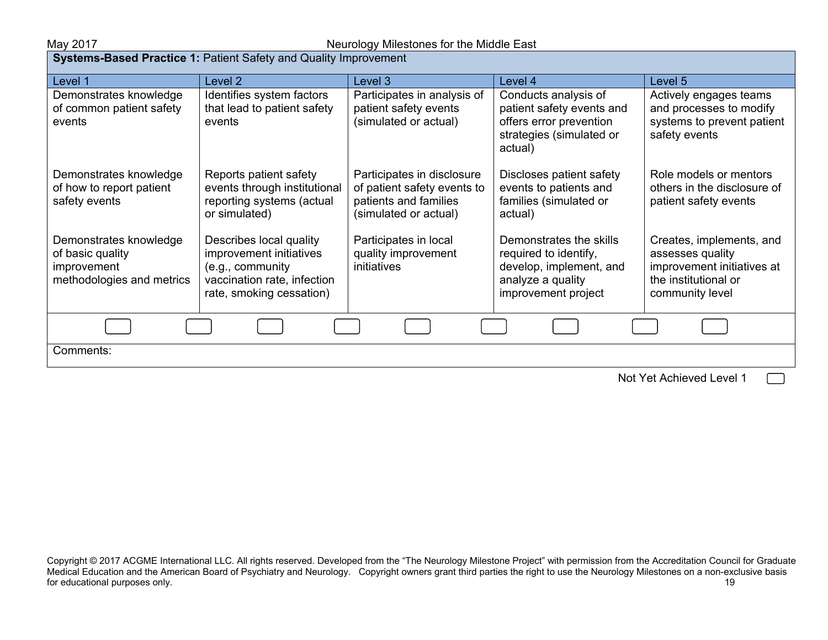#### May 2017 May 2017 **May 2017** Neurology Milestones for the Middle East

**Systems-Based Practice 1: Patient Safety and Quality Improvement** 

| Level 1                                   | Level 2                                                   | Level 3                                              | Level 4                                             | Level 5                                              |  |
|-------------------------------------------|-----------------------------------------------------------|------------------------------------------------------|-----------------------------------------------------|------------------------------------------------------|--|
| Demonstrates knowledge                    | Identifies system factors                                 | Participates in analysis of                          | Conducts analysis of                                | Actively engages teams                               |  |
| of common patient safety                  | that lead to patient safety                               | patient safety events                                | patient safety events and                           | and processes to modify                              |  |
| events                                    | events                                                    | (simulated or actual)                                | offers error prevention<br>strategies (simulated or | systems to prevent patient<br>safety events          |  |
|                                           |                                                           |                                                      | actual)                                             |                                                      |  |
| Demonstrates knowledge                    | Reports patient safety                                    | Participates in disclosure                           | Discloses patient safety                            | Role models or mentors                               |  |
| of how to report patient<br>safety events | events through institutional<br>reporting systems (actual | of patient safety events to<br>patients and families | events to patients and<br>families (simulated or    | others in the disclosure of<br>patient safety events |  |
|                                           | or simulated)                                             | (simulated or actual)                                | actual)                                             |                                                      |  |
| Demonstrates knowledge                    | Describes local quality                                   | Participates in local                                | Demonstrates the skills                             | Creates, implements, and                             |  |
| of basic quality<br>improvement           | improvement initiatives<br>(e.g., community               | quality improvement<br>initiatives                   | required to identify,<br>develop, implement, and    | assesses quality<br>improvement initiatives at       |  |
| methodologies and metrics                 | vaccination rate, infection                               |                                                      | analyze a quality                                   | the institutional or                                 |  |
|                                           | rate, smoking cessation)                                  |                                                      | improvement project                                 | community level                                      |  |
|                                           |                                                           |                                                      |                                                     |                                                      |  |
| Comments:                                 |                                                           |                                                      |                                                     |                                                      |  |
|                                           |                                                           |                                                      |                                                     | Not Yet Achieved Level 1                             |  |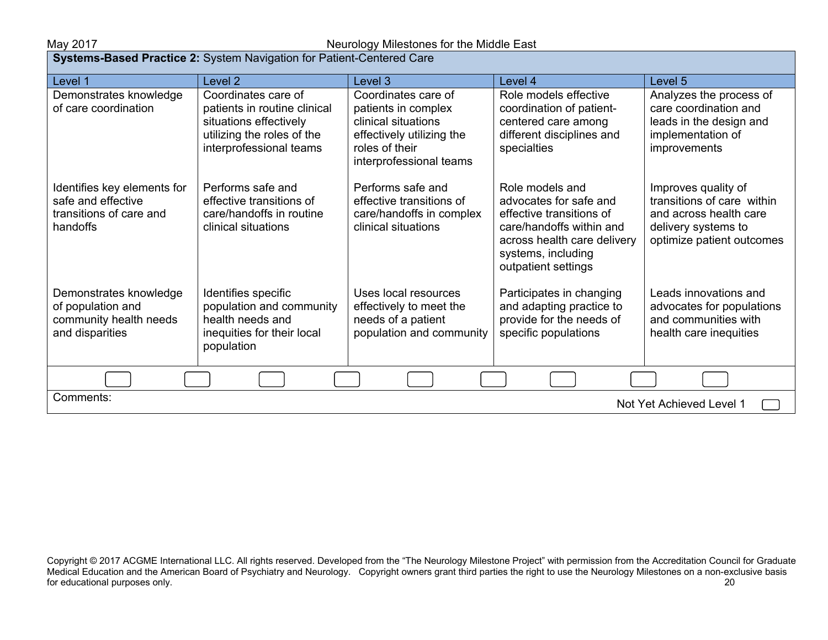### May 2017 May 2017 **Neurology Milestones for the Middle East**

| Systems-Based Practice 2: System Navigation for Patient-Centered Care                    |                                                                                                                                        |                                                                                                                                             |                                                                                                                                                                               |                                                                                                                                 |
|------------------------------------------------------------------------------------------|----------------------------------------------------------------------------------------------------------------------------------------|---------------------------------------------------------------------------------------------------------------------------------------------|-------------------------------------------------------------------------------------------------------------------------------------------------------------------------------|---------------------------------------------------------------------------------------------------------------------------------|
| Level 1                                                                                  | Level 2                                                                                                                                | Level 3                                                                                                                                     | Level 4                                                                                                                                                                       | Level 5                                                                                                                         |
| Demonstrates knowledge<br>of care coordination                                           | Coordinates care of<br>patients in routine clinical<br>situations effectively<br>utilizing the roles of the<br>interprofessional teams | Coordinates care of<br>patients in complex<br>clinical situations<br>effectively utilizing the<br>roles of their<br>interprofessional teams | Role models effective<br>coordination of patient-<br>centered care among<br>different disciplines and<br>specialties                                                          | Analyzes the process of<br>care coordination and<br>leads in the design and<br>implementation of<br>improvements                |
| Identifies key elements for<br>safe and effective<br>transitions of care and<br>handoffs | Performs safe and<br>effective transitions of<br>care/handoffs in routine<br>clinical situations                                       | Performs safe and<br>effective transitions of<br>care/handoffs in complex<br>clinical situations                                            | Role models and<br>advocates for safe and<br>effective transitions of<br>care/handoffs within and<br>across health care delivery<br>systems, including<br>outpatient settings | Improves quality of<br>transitions of care within<br>and across health care<br>delivery systems to<br>optimize patient outcomes |
| Demonstrates knowledge<br>of population and<br>community health needs<br>and disparities | Identifies specific<br>population and community<br>health needs and<br>inequities for their local<br>population                        | Uses local resources<br>effectively to meet the<br>needs of a patient<br>population and community                                           | Participates in changing<br>and adapting practice to<br>provide for the needs of<br>specific populations                                                                      | Leads innovations and<br>advocates for populations<br>and communities with<br>health care inequities                            |
|                                                                                          |                                                                                                                                        |                                                                                                                                             |                                                                                                                                                                               |                                                                                                                                 |
| Comments:<br>Not Yet Achieved Level 1                                                    |                                                                                                                                        |                                                                                                                                             |                                                                                                                                                                               |                                                                                                                                 |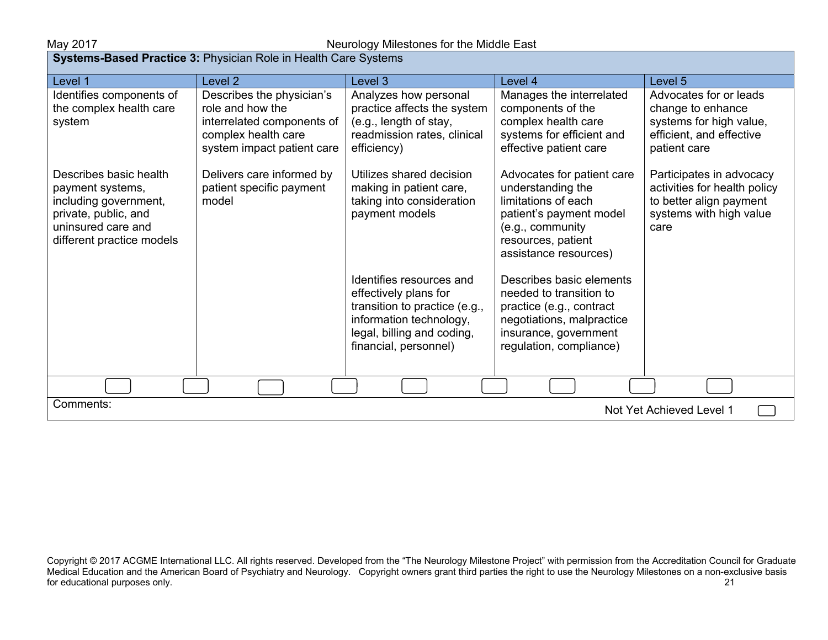| <b>Systems-Based Practice 3: Physician Role in Health Care Systems</b>                                                                         |                                                                                                                                  |                                                                                                                                                                      |                                                                                                                                                                      |                                                                                                                        |  |
|------------------------------------------------------------------------------------------------------------------------------------------------|----------------------------------------------------------------------------------------------------------------------------------|----------------------------------------------------------------------------------------------------------------------------------------------------------------------|----------------------------------------------------------------------------------------------------------------------------------------------------------------------|------------------------------------------------------------------------------------------------------------------------|--|
| Level 1                                                                                                                                        | Level <sub>2</sub>                                                                                                               | Level 3                                                                                                                                                              | Level 4                                                                                                                                                              | Level 5                                                                                                                |  |
| Identifies components of<br>the complex health care<br>system                                                                                  | Describes the physician's<br>role and how the<br>interrelated components of<br>complex health care<br>system impact patient care | Analyzes how personal<br>practice affects the system<br>(e.g., length of stay,<br>readmission rates, clinical<br>efficiency)                                         | Manages the interrelated<br>components of the<br>complex health care<br>systems for efficient and<br>effective patient care                                          | Advocates for or leads<br>change to enhance<br>systems for high value,<br>efficient, and effective<br>patient care     |  |
| Describes basic health<br>payment systems,<br>including government,<br>private, public, and<br>uninsured care and<br>different practice models | Delivers care informed by<br>patient specific payment<br>model                                                                   | Utilizes shared decision<br>making in patient care,<br>taking into consideration<br>payment models                                                                   | Advocates for patient care<br>understanding the<br>limitations of each<br>patient's payment model<br>(e.g., community<br>resources, patient<br>assistance resources) | Participates in advocacy<br>activities for health policy<br>to better align payment<br>systems with high value<br>care |  |
|                                                                                                                                                |                                                                                                                                  | Identifies resources and<br>effectively plans for<br>transition to practice (e.g.,<br>information technology,<br>legal, billing and coding,<br>financial, personnel) | Describes basic elements<br>needed to transition to<br>practice (e.g., contract<br>negotiations, malpractice<br>insurance, government<br>regulation, compliance)     |                                                                                                                        |  |
|                                                                                                                                                |                                                                                                                                  |                                                                                                                                                                      |                                                                                                                                                                      |                                                                                                                        |  |
| Comments:<br>Not Yet Achieved Level 1                                                                                                          |                                                                                                                                  |                                                                                                                                                                      |                                                                                                                                                                      |                                                                                                                        |  |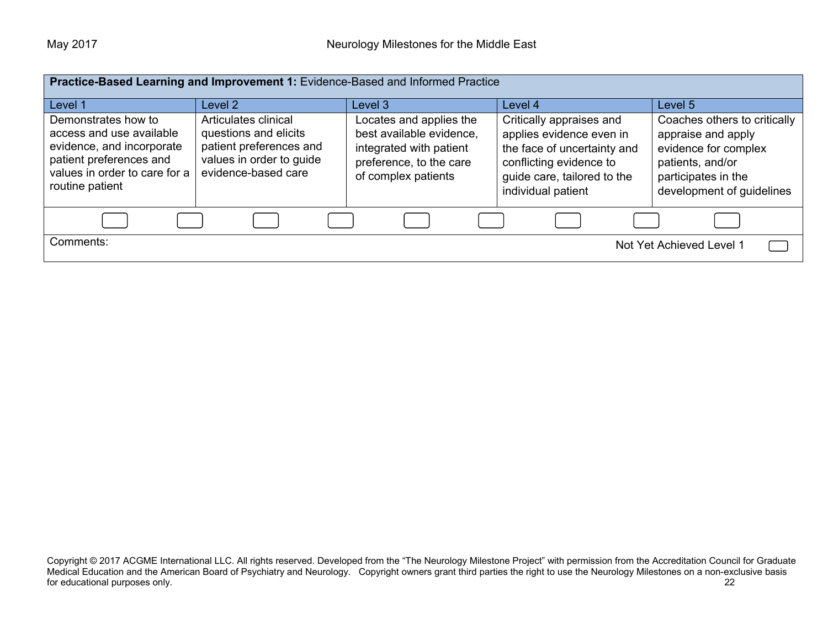| Practice-Based Learning and Improvement 1: Evidence-Based and Informed Practice                                                                             |                                                                                                                             |                                                                                                                                  |                                                                                                                                                                     |                                                                                                                                                    |
|-------------------------------------------------------------------------------------------------------------------------------------------------------------|-----------------------------------------------------------------------------------------------------------------------------|----------------------------------------------------------------------------------------------------------------------------------|---------------------------------------------------------------------------------------------------------------------------------------------------------------------|----------------------------------------------------------------------------------------------------------------------------------------------------|
| Level 1                                                                                                                                                     | Level 2                                                                                                                     | Level 3                                                                                                                          | Level 4                                                                                                                                                             | Level 5                                                                                                                                            |
| Demonstrates how to<br>access and use available<br>evidence, and incorporate<br>patient preferences and<br>values in order to care for a<br>routine patient | Articulates clinical<br>questions and elicits<br>patient preferences and<br>values in order to guide<br>evidence-based care | Locates and applies the<br>best available evidence,<br>integrated with patient<br>preference, to the care<br>of complex patients | Critically appraises and<br>applies evidence even in<br>the face of uncertainty and<br>conflicting evidence to<br>guide care, tailored to the<br>individual patient | Coaches others to critically<br>appraise and apply<br>evidence for complex<br>patients, and/or<br>participates in the<br>development of guidelines |
|                                                                                                                                                             |                                                                                                                             |                                                                                                                                  |                                                                                                                                                                     |                                                                                                                                                    |
| Comments:<br>Not Yet Achieved Level 1                                                                                                                       |                                                                                                                             |                                                                                                                                  |                                                                                                                                                                     |                                                                                                                                                    |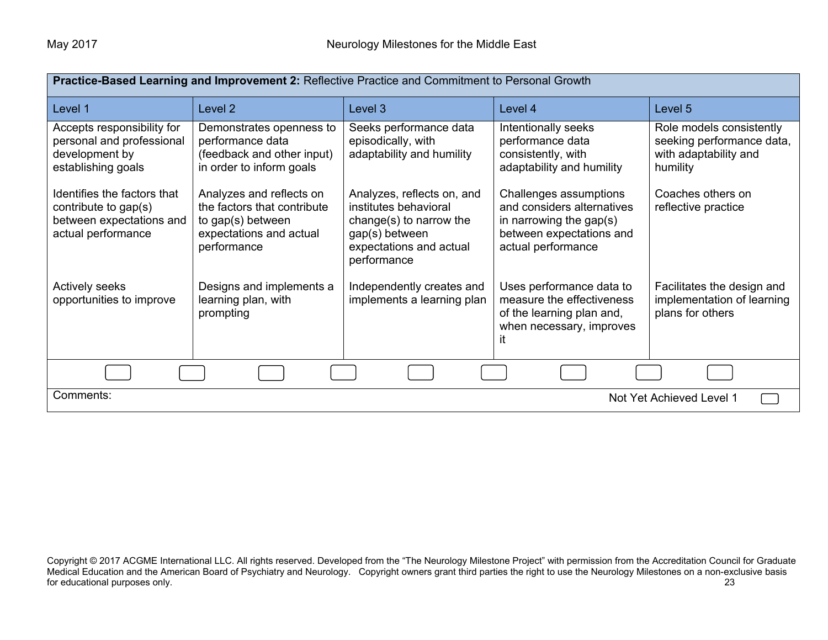| Practice-Based Learning and Improvement 2: Reflective Practice and Commitment to Personal Growth      |                                                                                                                        |                                                                                                                                            |                                                                                                                                      |                                                                                            |  |
|-------------------------------------------------------------------------------------------------------|------------------------------------------------------------------------------------------------------------------------|--------------------------------------------------------------------------------------------------------------------------------------------|--------------------------------------------------------------------------------------------------------------------------------------|--------------------------------------------------------------------------------------------|--|
| Level 1                                                                                               | Level <sub>2</sub>                                                                                                     | Level 3                                                                                                                                    | Level 4                                                                                                                              | Level 5                                                                                    |  |
| Accepts responsibility for<br>personal and professional<br>development by<br>establishing goals       | Demonstrates openness to<br>performance data<br>(feedback and other input)<br>in order to inform goals                 | Seeks performance data<br>episodically, with<br>adaptability and humility                                                                  | Intentionally seeks<br>performance data<br>consistently, with<br>adaptability and humility                                           | Role models consistently<br>seeking performance data,<br>with adaptability and<br>humility |  |
| Identifies the factors that<br>contribute to gap(s)<br>between expectations and<br>actual performance | Analyzes and reflects on<br>the factors that contribute<br>to gap(s) between<br>expectations and actual<br>performance | Analyzes, reflects on, and<br>institutes behavioral<br>change(s) to narrow the<br>gap(s) between<br>expectations and actual<br>performance | Challenges assumptions<br>and considers alternatives<br>in narrowing the gap $(s)$<br>between expectations and<br>actual performance | Coaches others on<br>reflective practice                                                   |  |
| <b>Actively seeks</b><br>opportunities to improve                                                     | Designs and implements a<br>learning plan, with<br>prompting                                                           | Independently creates and<br>implements a learning plan                                                                                    | Uses performance data to<br>measure the effectiveness<br>of the learning plan and,<br>when necessary, improves<br>it                 | Facilitates the design and<br>implementation of learning<br>plans for others               |  |
|                                                                                                       |                                                                                                                        |                                                                                                                                            |                                                                                                                                      |                                                                                            |  |
| Comments:<br>Not Yet Achieved Level 1                                                                 |                                                                                                                        |                                                                                                                                            |                                                                                                                                      |                                                                                            |  |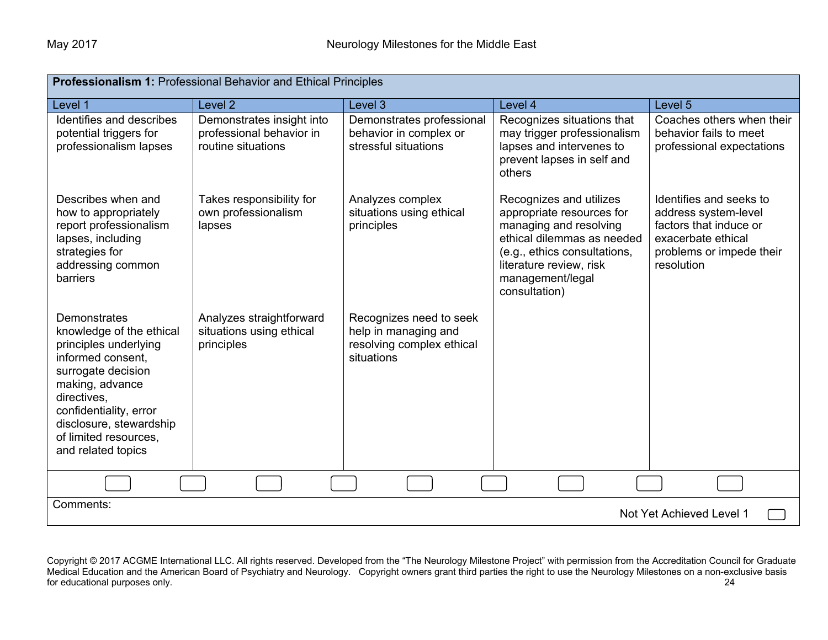| Professionalism 1: Professional Behavior and Ethical Principles                                                                                                                                                                                    |                                                                             |                                                                                            |                                                                                                                                                                                                              |                                                                                                                                           |
|----------------------------------------------------------------------------------------------------------------------------------------------------------------------------------------------------------------------------------------------------|-----------------------------------------------------------------------------|--------------------------------------------------------------------------------------------|--------------------------------------------------------------------------------------------------------------------------------------------------------------------------------------------------------------|-------------------------------------------------------------------------------------------------------------------------------------------|
| Level 1                                                                                                                                                                                                                                            | Level <sub>2</sub>                                                          | Level 3                                                                                    | Level 4                                                                                                                                                                                                      | Level 5                                                                                                                                   |
| Identifies and describes<br>potential triggers for<br>professionalism lapses                                                                                                                                                                       | Demonstrates insight into<br>professional behavior in<br>routine situations | Demonstrates professional<br>behavior in complex or<br>stressful situations                | Recognizes situations that<br>may trigger professionalism<br>lapses and intervenes to<br>prevent lapses in self and<br>others                                                                                | Coaches others when their<br>behavior fails to meet<br>professional expectations                                                          |
| Describes when and<br>how to appropriately<br>report professionalism<br>lapses, including<br>strategies for<br>addressing common<br>barriers                                                                                                       | Takes responsibility for<br>own professionalism<br>lapses                   | Analyzes complex<br>situations using ethical<br>principles                                 | Recognizes and utilizes<br>appropriate resources for<br>managing and resolving<br>ethical dilemmas as needed<br>(e.g., ethics consultations,<br>literature review, risk<br>management/legal<br>consultation) | Identifies and seeks to<br>address system-level<br>factors that induce or<br>exacerbate ethical<br>problems or impede their<br>resolution |
| Demonstrates<br>knowledge of the ethical<br>principles underlying<br>informed consent,<br>surrogate decision<br>making, advance<br>directives.<br>confidentiality, error<br>disclosure, stewardship<br>of limited resources.<br>and related topics | Analyzes straightforward<br>situations using ethical<br>principles          | Recognizes need to seek<br>help in managing and<br>resolving complex ethical<br>situations |                                                                                                                                                                                                              |                                                                                                                                           |
|                                                                                                                                                                                                                                                    |                                                                             |                                                                                            |                                                                                                                                                                                                              |                                                                                                                                           |
| Comments:<br>Not Yet Achieved Level 1                                                                                                                                                                                                              |                                                                             |                                                                                            |                                                                                                                                                                                                              |                                                                                                                                           |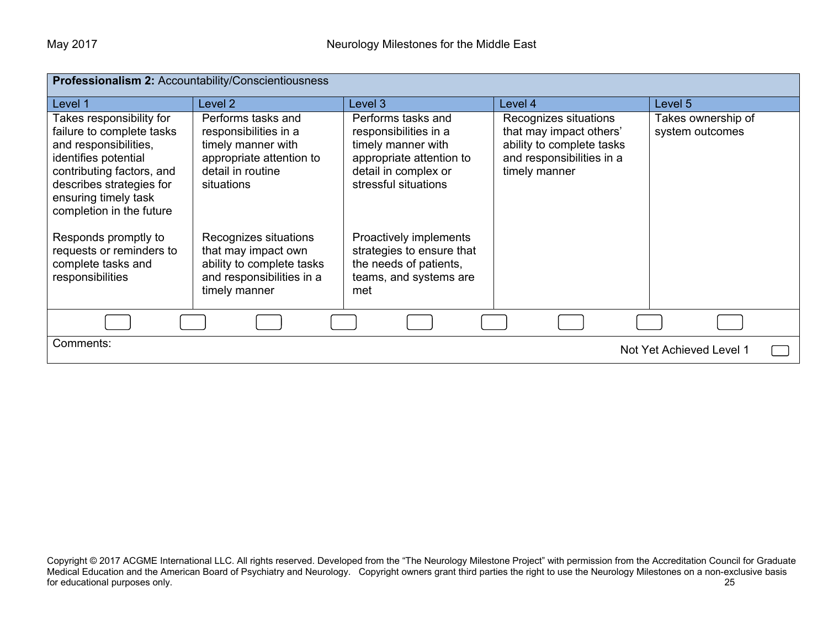| Professionalism 2: Accountability/Conscientiousness                                                                                                                                                                 |                                                                                                                                  |                                                                                                                                               |                                                                                                                             |                                       |
|---------------------------------------------------------------------------------------------------------------------------------------------------------------------------------------------------------------------|----------------------------------------------------------------------------------------------------------------------------------|-----------------------------------------------------------------------------------------------------------------------------------------------|-----------------------------------------------------------------------------------------------------------------------------|---------------------------------------|
| Level 1                                                                                                                                                                                                             | Level <sub>2</sub>                                                                                                               | Level 3                                                                                                                                       | Level 4                                                                                                                     | Level 5                               |
| Takes responsibility for<br>failure to complete tasks<br>and responsibilities,<br>identifies potential<br>contributing factors, and<br>describes strategies for<br>ensuring timely task<br>completion in the future | Performs tasks and<br>responsibilities in a<br>timely manner with<br>appropriate attention to<br>detail in routine<br>situations | Performs tasks and<br>responsibilities in a<br>timely manner with<br>appropriate attention to<br>detail in complex or<br>stressful situations | Recognizes situations<br>that may impact others'<br>ability to complete tasks<br>and responsibilities in a<br>timely manner | Takes ownership of<br>system outcomes |
| Responds promptly to<br>requests or reminders to<br>complete tasks and<br>responsibilities                                                                                                                          | Recognizes situations<br>that may impact own<br>ability to complete tasks<br>and responsibilities in a<br>timely manner          | Proactively implements<br>strategies to ensure that<br>the needs of patients,<br>teams, and systems are<br>met                                |                                                                                                                             |                                       |
|                                                                                                                                                                                                                     |                                                                                                                                  |                                                                                                                                               |                                                                                                                             |                                       |
| Comments:<br>Not Yet Achieved Level 1                                                                                                                                                                               |                                                                                                                                  |                                                                                                                                               |                                                                                                                             |                                       |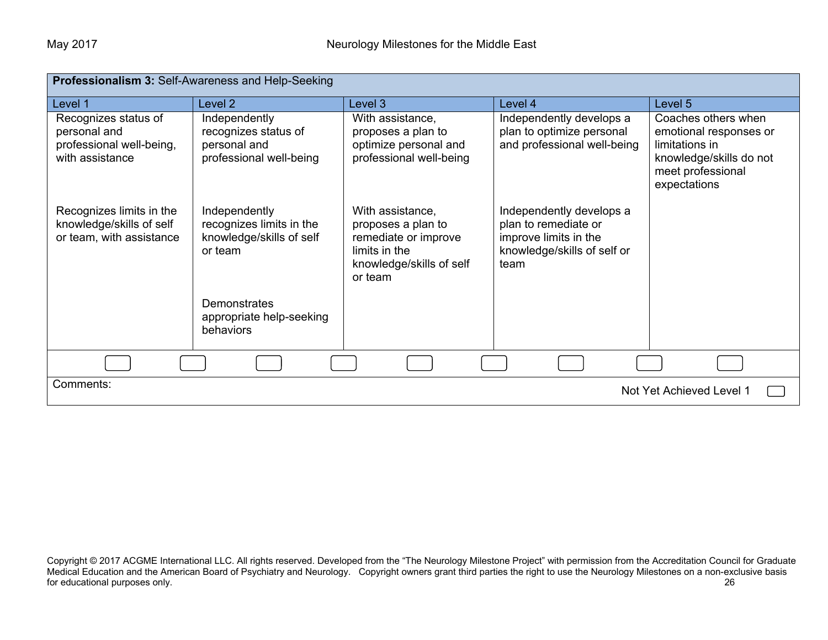| Professionalism 3: Self-Awareness and Help-Seeking                                  |                                                                                  |                                                                                                                        |                                                                                                                  |                                                                                                                                 |  |
|-------------------------------------------------------------------------------------|----------------------------------------------------------------------------------|------------------------------------------------------------------------------------------------------------------------|------------------------------------------------------------------------------------------------------------------|---------------------------------------------------------------------------------------------------------------------------------|--|
| Level 1                                                                             | Level <sub>2</sub>                                                               | Level 3                                                                                                                | Level 4                                                                                                          | Level 5                                                                                                                         |  |
| Recognizes status of<br>personal and<br>professional well-being,<br>with assistance | Independently<br>recognizes status of<br>personal and<br>professional well-being | With assistance,<br>proposes a plan to<br>optimize personal and<br>professional well-being                             | Independently develops a<br>plan to optimize personal<br>and professional well-being                             | Coaches others when<br>emotional responses or<br>limitations in<br>knowledge/skills do not<br>meet professional<br>expectations |  |
| Recognizes limits in the<br>knowledge/skills of self<br>or team, with assistance    | Independently<br>recognizes limits in the<br>knowledge/skills of self<br>or team | With assistance,<br>proposes a plan to<br>remediate or improve<br>limits in the<br>knowledge/skills of self<br>or team | Independently develops a<br>plan to remediate or<br>improve limits in the<br>knowledge/skills of self or<br>team |                                                                                                                                 |  |
|                                                                                     | <b>Demonstrates</b><br>appropriate help-seeking<br>behaviors                     |                                                                                                                        |                                                                                                                  |                                                                                                                                 |  |
|                                                                                     |                                                                                  |                                                                                                                        |                                                                                                                  |                                                                                                                                 |  |
| Comments:<br>Not Yet Achieved Level 1                                               |                                                                                  |                                                                                                                        |                                                                                                                  |                                                                                                                                 |  |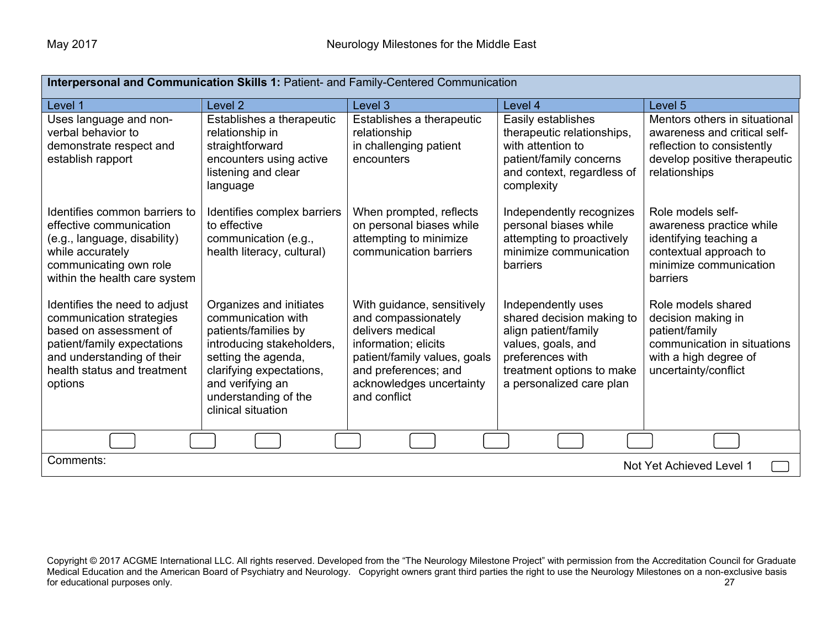| Interpersonal and Communication Skills 1: Patient- and Family-Centered Communication                                                                                                       |                                                                                                                                                                                                                         |                                                                                                                                                                                                   |                                                                                                                                                                            |                                                                                                                                              |
|--------------------------------------------------------------------------------------------------------------------------------------------------------------------------------------------|-------------------------------------------------------------------------------------------------------------------------------------------------------------------------------------------------------------------------|---------------------------------------------------------------------------------------------------------------------------------------------------------------------------------------------------|----------------------------------------------------------------------------------------------------------------------------------------------------------------------------|----------------------------------------------------------------------------------------------------------------------------------------------|
| Level 1                                                                                                                                                                                    | Level <sub>2</sub>                                                                                                                                                                                                      | Level 3                                                                                                                                                                                           | Level 4                                                                                                                                                                    | Level 5                                                                                                                                      |
| Uses language and non-<br>verbal behavior to<br>demonstrate respect and<br>establish rapport                                                                                               | Establishes a therapeutic<br>relationship in<br>straightforward<br>encounters using active<br>listening and clear<br>language                                                                                           | Establishes a therapeutic<br>relationship<br>in challenging patient<br>encounters                                                                                                                 | Easily establishes<br>therapeutic relationships,<br>with attention to<br>patient/family concerns<br>and context, regardless of<br>complexity                               | Mentors others in situational<br>awareness and critical self-<br>reflection to consistently<br>develop positive therapeutic<br>relationships |
| Identifies common barriers to<br>effective communication<br>(e.g., language, disability)<br>while accurately<br>communicating own role<br>within the health care system                    | Identifies complex barriers<br>to effective<br>communication (e.g.,<br>health literacy, cultural)                                                                                                                       | When prompted, reflects<br>on personal biases while<br>attempting to minimize<br>communication barriers                                                                                           | Independently recognizes<br>personal biases while<br>attempting to proactively<br>minimize communication<br>barriers                                                       | Role models self-<br>awareness practice while<br>identifying teaching a<br>contextual approach to<br>minimize communication<br>barriers      |
| Identifies the need to adjust<br>communication strategies<br>based on assessment of<br>patient/family expectations<br>and understanding of their<br>health status and treatment<br>options | Organizes and initiates<br>communication with<br>patients/families by<br>introducing stakeholders,<br>setting the agenda,<br>clarifying expectations,<br>and verifying an<br>understanding of the<br>clinical situation | With guidance, sensitively<br>and compassionately<br>delivers medical<br>information; elicits<br>patient/family values, goals<br>and preferences; and<br>acknowledges uncertainty<br>and conflict | Independently uses<br>shared decision making to<br>align patient/family<br>values, goals, and<br>preferences with<br>treatment options to make<br>a personalized care plan | Role models shared<br>decision making in<br>patient/family<br>communication in situations<br>with a high degree of<br>uncertainty/conflict   |
|                                                                                                                                                                                            |                                                                                                                                                                                                                         |                                                                                                                                                                                                   |                                                                                                                                                                            |                                                                                                                                              |
| Comments:<br>Not Yet Achieved Level 1                                                                                                                                                      |                                                                                                                                                                                                                         |                                                                                                                                                                                                   |                                                                                                                                                                            |                                                                                                                                              |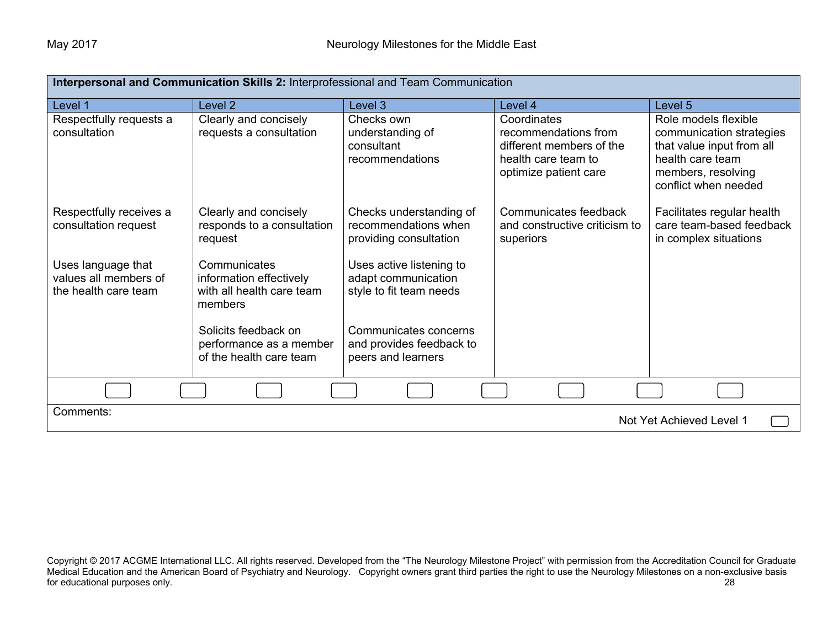| Interpersonal and Communication Skills 2: Interprofessional and Team Communication |                                                                                 |                                                                            |                                                                                                                 |                                                                                                                                                 |  |
|------------------------------------------------------------------------------------|---------------------------------------------------------------------------------|----------------------------------------------------------------------------|-----------------------------------------------------------------------------------------------------------------|-------------------------------------------------------------------------------------------------------------------------------------------------|--|
| Level 1                                                                            | Level <sub>2</sub>                                                              | Level 3                                                                    | Level 4                                                                                                         | Level 5                                                                                                                                         |  |
| Respectfully requests a<br>consultation                                            | Clearly and concisely<br>requests a consultation                                | Checks own<br>understanding of<br>consultant<br>recommendations            | Coordinates<br>recommendations from<br>different members of the<br>health care team to<br>optimize patient care | Role models flexible<br>communication strategies<br>that value input from all<br>health care team<br>members, resolving<br>conflict when needed |  |
| Respectfully receives a<br>consultation request                                    | Clearly and concisely<br>responds to a consultation<br>request                  | Checks understanding of<br>recommendations when<br>providing consultation  | Communicates feedback<br>and constructive criticism to<br>superiors                                             | Facilitates regular health<br>care team-based feedback<br>in complex situations                                                                 |  |
| Uses language that<br>values all members of<br>the health care team                | Communicates<br>information effectively<br>with all health care team<br>members | Uses active listening to<br>adapt communication<br>style to fit team needs |                                                                                                                 |                                                                                                                                                 |  |
|                                                                                    | Solicits feedback on<br>performance as a member<br>of the health care team      | Communicates concerns<br>and provides feedback to<br>peers and learners    |                                                                                                                 |                                                                                                                                                 |  |
|                                                                                    |                                                                                 |                                                                            |                                                                                                                 |                                                                                                                                                 |  |
| Comments:<br>Not Yet Achieved Level 1                                              |                                                                                 |                                                                            |                                                                                                                 |                                                                                                                                                 |  |